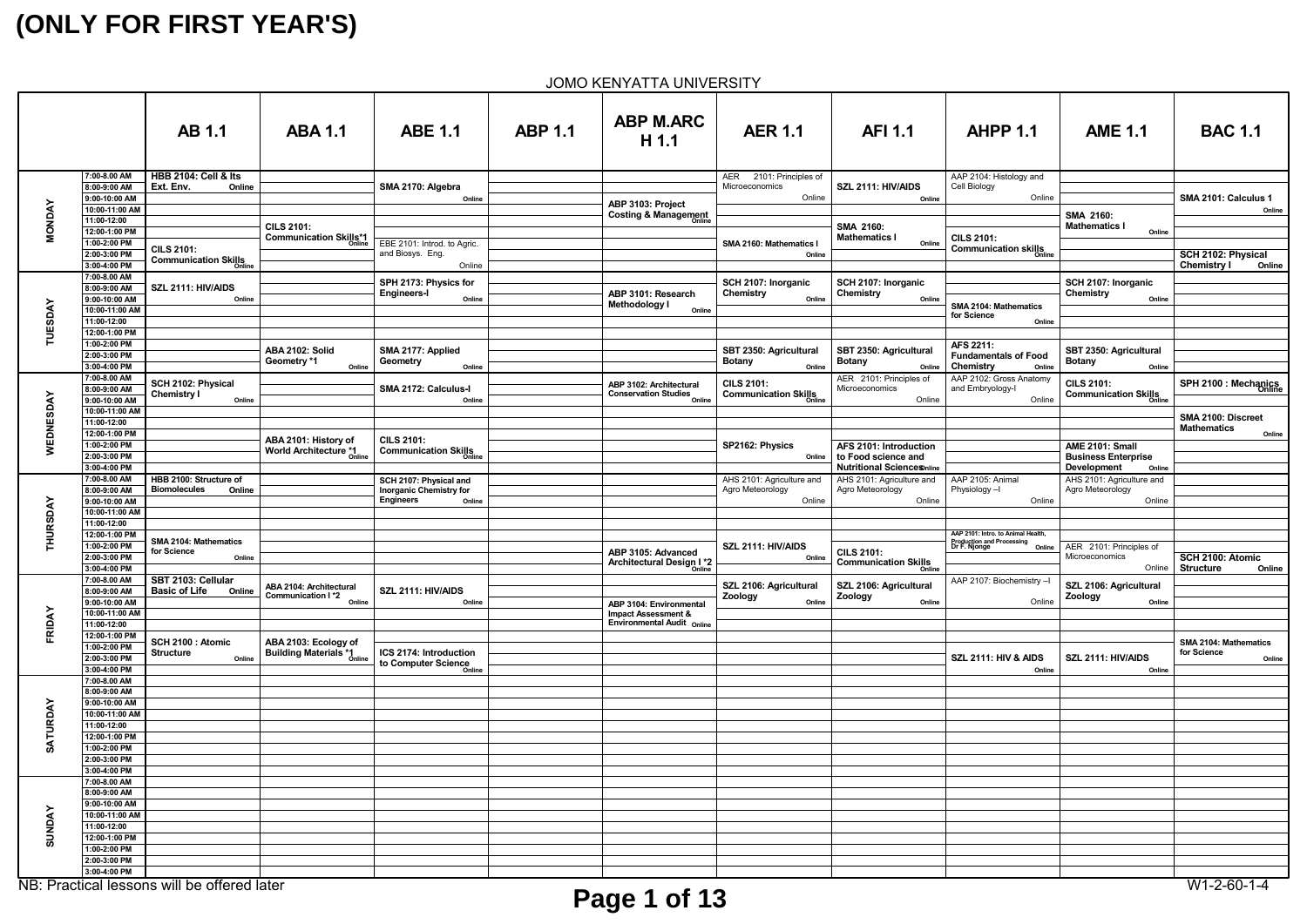| <b>JOMO KENYATTA UNIVERSITY</b> |  |
|---------------------------------|--|
|---------------------------------|--|

|               |                                                                                | <b>AB 1.1</b>                                                            | <b>ABA 1.1</b>                                                 | <b>ABE 1.1</b>                                                                         | <b>ABP 1.1</b> | <b>ABP M.ARC</b><br>H 1.1                                                                      | <b>AER 1.1</b>                                                    | <b>AFI 1.1</b>                                                                                                          | <b>AHPP 1.1</b>                                                                                   | <b>AME 1.1</b>                                                                                             | <b>BAC 1.1</b>                                                   |
|---------------|--------------------------------------------------------------------------------|--------------------------------------------------------------------------|----------------------------------------------------------------|----------------------------------------------------------------------------------------|----------------|------------------------------------------------------------------------------------------------|-------------------------------------------------------------------|-------------------------------------------------------------------------------------------------------------------------|---------------------------------------------------------------------------------------------------|------------------------------------------------------------------------------------------------------------|------------------------------------------------------------------|
| <b>MONDAY</b> | 7:00-8.00 AM<br>8:00-9:00 AM<br>9:00-10:00 AM<br>10:00-11:00 AM<br>11:00-12:00 | <b>HBB 2104: Cell &amp; Its</b><br>Ext. Env.<br>Online                   |                                                                | SMA 2170: Algebra<br>Online                                                            |                | ABP 3103: Project<br><b>Costing &amp; Management</b>                                           | AER 2101: Principles of<br>Microeconomics<br>Online               | SZL 2111: HIV/AIDS<br>Online                                                                                            | AAP 2104: Histology and<br>Cell Biology<br>Online                                                 | SMA 2160:<br><b>Mathematics I</b>                                                                          | <b>SMA 2101: Calculus 1</b><br>Online                            |
|               | 12:00-1:00 PM<br>1:00-2:00 PM<br>2:00-3:00 PM<br>3:00-4:00 PM                  | <b>CILS 2101:</b><br><b>COMMUNICATION Skills</b><br>Communication Skills | <b>CILS 2101:</b><br><b>Communication Skills*1</b>             | EBE 2101: Introd. to Agric.<br>and Biosys. Eng.<br>Online                              |                |                                                                                                | SMA 2160: Mathematics I<br>Online                                 | <b>SMA 2160:</b><br><b>Mathematics I</b><br>Online                                                                      | <b>CILS 2101:</b><br>$C$ Communication skills                                                     | Online                                                                                                     | SCH 2102: Physical<br><b>Chemistry I</b><br>Online               |
| ESDAY         | 7:00-8.00 AM<br>8:00-9:00 AM<br>9:00-10:00 AM<br>10:00-11:00 AM<br>11:00-12:00 | SZL 2111: HIV/AIDS<br>Online                                             |                                                                | SPH 2173: Physics for<br><b>Engineers-I</b><br>Online                                  |                | ABP 3101: Research<br><b>Methodology I</b><br>Online                                           | SCH 2107: Inorganic<br><b>Chemistry</b><br>Online                 | SCH 2107: Inorganic<br>Chemistry<br>Online                                                                              | SMA 2104: Mathematics<br>for Science<br>Online                                                    | SCH 2107: Inorganic<br>Chemistry<br>Online                                                                 |                                                                  |
| 흔             | 12:00-1:00 PM<br>1:00-2:00 PM<br>2:00-3:00 PM<br>3:00-4:00 PM<br>7:00-8.00 AM  |                                                                          | ABA 2102: Solid<br>Geometry *1<br>Online                       | SMA 2177: Applied<br>Geometry<br>Online                                                |                |                                                                                                | SBT 2350: Agricultural<br><b>Botany</b><br>Online                 | SBT 2350: Agricultural<br><b>Botany</b><br>Online<br>AER 2101: Principles of                                            | AFS 2211:<br><b>Fundamentals of Food</b><br><b>Chemistry</b><br>Online<br>AAP 2102: Gross Anatomy | SBT 2350: Agricultural<br><b>Botany</b><br>Online                                                          |                                                                  |
| ESDAY         | 8:00-9:00 AM<br>9:00-10:00 AM<br>10:00-11:00 AM<br>11:00-12:00                 | SCH 2102: Physical<br><b>Chemistry I</b><br>Online                       |                                                                | SMA 2172: Calculus-I<br>Online                                                         |                | ABP 3102: Architectural<br>Abr المسيحية العداد Abr<br>Conservation Studies<br>Online           | <b>CILS 2101:</b><br><b>Communication Skills</b><br><b>Online</b> | Microeconomics<br>Online                                                                                                | and Embryology-I<br>Online                                                                        | <b>CILS 2101:</b><br><b>Communication Skills</b>                                                           | SPH 2100 : Mechanics<br>SMA 2100: Discreet<br><b>Mathematics</b> |
| WEDNE         | 12:00-1:00 PM<br>1:00-2:00 PM<br>2:00-3:00 PM<br>3:00-4:00 PM<br>7:00-8.00 AM  | HBB 2100: Structure of                                                   | ABA 2101: History of<br><b>World Architecture *1</b><br>Online | <b>CILS 2101:</b><br><b>Communication Skills</b><br><b>Online</b>                      |                |                                                                                                | SP2162: Physics<br>AHS 2101: Agriculture and                      | AFS 2101: Introduction<br>Online   to Food science and<br><b>Nutritional ScienceSnline</b><br>AHS 2101: Agriculture and | AAP 2105: Animal                                                                                  | <b>AME 2101: Small</b><br><b>Business Enterprise</b><br>Development<br>Online<br>AHS 2101: Agriculture and | Online                                                           |
| THURSDAY      | 8:00-9:00 AM<br>9:00-10:00 AM<br>10:00-11:00 AM<br>11:00-12:00                 | <b>Biomolecules</b><br>Online                                            |                                                                | SCH 2107: Physical and<br><b>Inorganic Chemistry for</b><br><b>Engineers</b><br>Online |                |                                                                                                | Agro Meteorology<br>Online                                        | Agro Meteorology<br>Online                                                                                              | Physiology-I<br>Online                                                                            | Agro Meteorology<br>Online                                                                                 |                                                                  |
|               | 12:00-1:00 PM<br>1:00-2:00 PM<br>2:00-3:00 PM<br>3:00-4:00 PM<br>7:00-8.00 AM  | SMA 2104: Mathematics<br>for Science<br>Online<br>SBT 2103: Cellular     |                                                                |                                                                                        |                | ABP 3105: Advanced<br><b>Architectural Design I*2</b>                                          | SZL 2111: HIV/AIDS<br>Online                                      | <b>CILS 2101:</b><br>CILO 210<br>Communication Skills                                                                   | AAP 2101: Intro. to Animal Health,<br>Production and Processing<br>Dr F. Njonge<br>Online         | AER 2101: Principles of<br>Microeconomics<br>Online                                                        | SCH 2100: Atomic<br><b>Structure</b><br>Online                   |
| FRIDAY        | 8:00-9:00 AM<br>9:00-10:00 AM<br>10:00-11:00 AM<br>11:00-12:00                 | <b>Basic of Life</b><br>Online                                           | ABA 2104: Architectural<br><b>Communication I *2</b><br>Online | SZL 2111: HIV/AIDS<br>Online                                                           |                | ABP 3104: Environmental<br><b>Impact Assessment &amp;</b><br><b>Environmental Audit Online</b> | SZL 2106: Agricultural<br>Zoology<br>Online                       | SZL 2106: Agricultural<br>Zoology<br>Online                                                                             | AAP 2107: Biochemistry -I<br>Online                                                               | SZL 2106: Agricultural<br>Zoology<br>Online                                                                |                                                                  |
|               | 12:00-1:00 PM<br>1:00-2:00 PM<br>2:00-3:00 PM<br>3:00-4:00 PM                  | SCH 2100 : Atomic<br><b>Structure</b><br>Online                          | ABA 2103: Ecology of<br><b>Building Materials *1</b><br>Online | ICS 2174: Introduction<br>to Computer Science                                          |                |                                                                                                |                                                                   |                                                                                                                         | <b>SZL 2111: HIV &amp; AIDS</b><br>Online                                                         | SZL 2111: HIV/AIDS<br>Online                                                                               | SMA 2104: Mathematics<br>for Science<br>Online                   |
|               | 7:00-8.00 AM<br>8:00-9:00 AM<br>9:00-10:00 AM<br>10:00-11:00 AM<br>11:00-12:00 |                                                                          |                                                                |                                                                                        |                |                                                                                                |                                                                   |                                                                                                                         |                                                                                                   |                                                                                                            |                                                                  |
| SATURDAY      | 12:00-1:00 PM<br>1:00-2:00 PM<br>2:00-3:00 PM<br>$3:00-4:00$ PM                |                                                                          |                                                                |                                                                                        |                |                                                                                                |                                                                   |                                                                                                                         |                                                                                                   |                                                                                                            |                                                                  |
| SUNDAY        | 7:00-8.00 AM<br>8:00-9:00 AM<br>9:00-10:00 AM<br>10:00-11:00 AM<br>11:00-12:00 |                                                                          |                                                                |                                                                                        |                |                                                                                                |                                                                   |                                                                                                                         |                                                                                                   |                                                                                                            |                                                                  |
|               | 12:00-1:00 PM<br>1:00-2:00 PM<br>2:00-3:00 PM<br>3:00-4:00 PM                  | NB: Practical lessons will be offered later                              |                                                                |                                                                                        |                |                                                                                                |                                                                   |                                                                                                                         |                                                                                                   |                                                                                                            | $W1 - 2 - 60 - 1 - 4$                                            |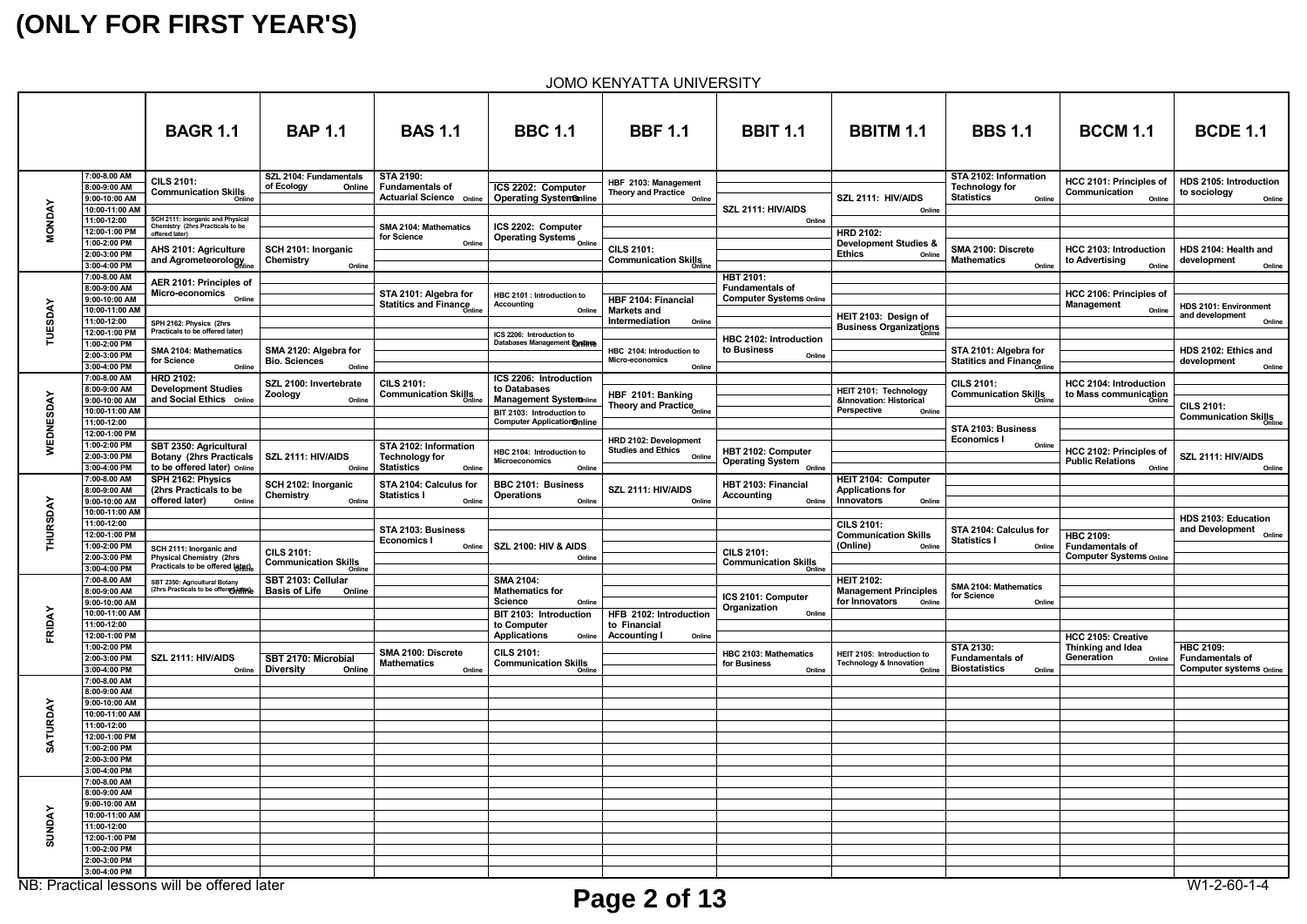JOMO KENYATTA UNIVERSITY

|               |                                                                     | <b>BAGR 1.1</b>                                                                                                                        | <b>BAP 1.1</b>                                              | <b>BAS 1.1</b>                                                                | <b>BBC 1.1</b>                                                                                        | <b>BBF 1.1</b>                                                        | <b>BBIT 1.1</b>                                                                       | <b>BBITM 1.1</b>                                                                | <b>BBS 1.1</b>                                                                | <b>BCCM 1.1</b>                                                       | <b>BCDE 1.1</b>                                                |
|---------------|---------------------------------------------------------------------|----------------------------------------------------------------------------------------------------------------------------------------|-------------------------------------------------------------|-------------------------------------------------------------------------------|-------------------------------------------------------------------------------------------------------|-----------------------------------------------------------------------|---------------------------------------------------------------------------------------|---------------------------------------------------------------------------------|-------------------------------------------------------------------------------|-----------------------------------------------------------------------|----------------------------------------------------------------|
|               | 7:00-8.00 AM<br>8:00-9:00 AM<br>9:00-10:00 AM<br>10:00-11:00 AM     | <b>CILS 2101:</b><br><b>CILU 21011</b><br>Communication Skills                                                                         | SZL 2104: Fundamentals<br>of Ecology<br>Online              | <b>STA 2190:</b><br><b>Fundamentals of</b><br><b>Actuarial Science Online</b> | ICS 2202: Computer<br><b>Operating System®nline</b>                                                   | HBF 2103: Management<br><b>Theory and Practice</b><br>Online          | SZL 2111: HIV/AIDS                                                                    | SZL 2111: HIV/AIDS<br>Online                                                    | STA 2102: Information<br><b>Technology for</b><br><b>Statistics</b><br>Online | HCC 2101: Principles of<br>Communication<br>Online                    | HDS 2105: Introduction<br>to sociology<br>Online               |
| <b>MONDAY</b> | 11:00-12:00<br>12:00-1:00 PM<br>1:00-2:00 PM<br>2:00-3:00 PM        | SCH 2111: Inorganic and Physical<br>Chemistry (2hrs Practicals to be<br>offered later)<br>AHS 2101: Agriculture<br>and Agrometeorology | SCH 2101: Inorganic<br><b>Chemistry</b>                     | SMA 2104: Mathematics<br>for Science<br>Online                                | ICS 2202: Computer<br>Ob 2211<br>Operating Systems <sub>Online</sub>                                  | <b>CILS 2101:</b><br><b>Communication Skills</b>                      | Online                                                                                | <b>HRD 2102:</b><br><b>Development Studies &amp;</b><br><b>Ethics</b><br>Online | SMA 2100: Discrete<br><b>Mathematics</b>                                      | HCC 2103: Introduction<br>to Advertising                              | HDS 2104: Health and<br>development                            |
|               | 3:00-4:00 PM<br>7:00-8.00 AM<br>8:00-9:00 AM                        | AER 2101: Principles of<br>Micro-economics                                                                                             | Online                                                      | STA 2101: Algebra for                                                         | HBC 2101 : Introduction to                                                                            |                                                                       | <b>HBT 2101:</b><br><b>Fundamentals of</b><br><b>Computer Systems Online</b>          |                                                                                 | Online                                                                        | Online<br>HCC 2106: Principles of                                     | Online                                                         |
| TUESDAY       | 9:00-10:00 AM<br>10:00-11:00 AM<br>11:00-12:00<br>12:00-1:00 PM     | Online<br>SPH 2162: Physics (2hrs<br>Practicals to be offered later)                                                                   |                                                             | <b>Statitics and Finance</b>                                                  | Accounting<br>Online<br>ICS 2206: Introduction to                                                     | HBF 2104: Financial<br><b>Markets and</b><br>Intermediation<br>Online |                                                                                       | HEIT 2103: Design of<br><b>Business Organizations</b>                           |                                                                               | <b>Management</b><br>Online                                           | HDS 2101: Environment<br>and development<br>Online             |
|               | 1:00-2:00 PM<br>2:00-3:00 PM<br>3:00-4:00 PM                        | SMA 2104: Mathematics<br>for Science<br>Online                                                                                         | SMA 2120: Algebra for<br><b>Bio. Sciences</b><br>Online     |                                                                               | Databases Management Systems                                                                          | HBC 2104: Introduction to<br>Micro-economics<br>Online                | HBC 2102: Introduction<br>to Business<br>Online                                       |                                                                                 | STA 2101: Algebra for<br><b>Statitics and Finance</b><br><sup>Online</sup>    |                                                                       | HDS 2102: Ethics and<br>development<br>Online                  |
|               | 7:00-8.00 AM<br>8:00-9:00 AM<br>9:00-10:00 AM<br>10:00-11:00 AM     | <b>HRD 2102:</b><br><b>Development Studies</b><br>and Social Ethics Online                                                             | SZL 2100: Invertebrate<br>Zoology<br>Online                 | <b>CILS 2101:</b><br><b>Communication Skills</b>                              | ICS 2206: Introduction<br>to Databases<br><b>Management Systeronline</b><br>BIT 2103: Introduction to | HBF 2101: Banking<br>Theory and Practice $_{\text{Online}}$           |                                                                                       | HEIT 2101: Technology<br>&Innovation: Historical<br>Perspective<br>Online       | <b>CILS 2101:</b><br>Communication Skills                                     | HCC 2104: Introduction<br>to Mass communication<br><sub>Online</sub>  | <b>CILS 2101:</b>                                              |
| WEDNESDAY     | 11:00-12:00<br>12:00-1:00 PM<br>1:00-2:00 PM<br>2:00-3:00 PM        | SBT 2350: Agricultural<br><b>Botany (2hrs Practicals</b>                                                                               | SZL 2111: HIV/AIDS                                          | STA 2102: Information<br><b>Technology for</b>                                | <b>Computer Application Snline</b><br>HBC 2104: Introduction to                                       | HRD 2102: Development<br><b>Studies and Ethics</b><br>Online          | HBT 2102: Computer                                                                    |                                                                                 | STA 2103: Business<br><b>Economics I</b><br>Online                            | HCC 2102: Principles of                                               | <b>CILC 210 </b><br>Communication Skills<br>SZL 2111: HIV/AIDS |
|               | 3:00-4:00 PM<br>7:00-8.00 AM<br>8:00-9:00 AM                        | to be offered later) Online<br>SPH 2162: Physics<br>(2hrs Practicals to be                                                             | Online<br>SCH 2102: Inorganic<br>Chemistry                  | <b>Statistics</b><br>Online<br>STA 2104: Calculus for<br><b>Statistics I</b>  | <b>Microeconomics</b><br>Online<br>BBC 2101: Business<br><b>Operations</b>                            | SZL 2111: HIV/AIDS                                                    | Operating System <sub>Online</sub><br><b>HBT 2103: Financial</b><br><b>Accounting</b> | HEIT 2104: Computer<br><b>Applications for</b>                                  |                                                                               | <b>Public Relations</b><br>Online                                     | Online                                                         |
| THURSDAY      | 9:00-10:00 AM<br>10:00-11:00 AM<br>11:00-12:00<br>12:00-1:00 PM     | offered later)<br>Online                                                                                                               | Online                                                      | Online<br>STA 2103: Business                                                  | Online                                                                                                | Online                                                                | Online                                                                                | Innovators<br>Online<br><b>CILS 2101:</b><br><b>Communication Skills</b>        | STA 2104: Calculus for                                                        |                                                                       | HDS 2103: Education<br>and Development<br>Online               |
|               | 1:00-2:00 PM<br>2:00-3:00 PM<br>3:00-4:00 PM                        | SCH 2111: Inorganic and<br><b>Physical Chemistry (2hrs</b><br>Practicals to be offered later)                                          | <b>CILS 2101:</b><br>$\frac{C_1}{C_2}$ Communication Skills | <b>Economics I</b><br>Online                                                  | <b>SZL 2100: HIV &amp; AIDS</b><br>Online                                                             |                                                                       | <b>CILS 2101:</b>                                                                     | (Online)<br>Online                                                              | <b>Statistics I</b><br>Online                                                 | HBC 2109:<br><b>Fundamentals of</b><br><b>Computer Systems Online</b> |                                                                |
|               | $7:00 - 8.00$ AM<br>8:00-9:00 AM<br>9:00-10:00 AM<br>10:00-11:00 AM | SBT 2350: Agricultural Botany<br>(2hrs Practicals to be offered <b>HTME)</b> Basis of Life                                             | SBT 2103: Cellular<br>Online                                |                                                                               | <b>SMA 2104:</b><br><b>Mathematics for</b><br><b>Science</b><br>Online                                |                                                                       | ICS 2101: Computer<br>Organization                                                    | <b>HEIT 2102:</b><br><b>Management Principles</b><br>for Innovators<br>Online   | <b>SMA 2104: Mathematics</b><br>for Science<br>Online                         |                                                                       |                                                                |
| <b>FRIDAY</b> | 11:00-12:00<br>12:00-1:00 PM<br>1:00-2:00 PM                        |                                                                                                                                        |                                                             |                                                                               | BIT 2103: Introduction<br>to Computer<br><b>Applications</b><br>Online                                | HFB 2102: Introduction<br>to Financial<br>Accounting I<br>Online      | Online                                                                                |                                                                                 | <b>STA 2130:</b>                                                              | HCC 2105: Creative<br><b>Thinking and Idea</b>                        | <b>HBC 2109:</b>                                               |
|               | 2:00-3:00 PM<br>3:00-4:00 PM<br>7:00-8.00 AM                        | SZL 2111: HIV/AIDS<br>Online                                                                                                           | SBT 2170: Microbial<br><b>Diversity</b><br>Online           | SMA 2100: Discrete<br><b>Mathematics</b><br>Online                            | <b>CILS 2101:</b><br>Communication Skills                                                             |                                                                       | HBC 2103: Mathematics<br>for Business<br>Online                                       | HEIT 2105: Introduction to<br><b>Technology &amp; Innovation</b><br>Online      | <b>Fundamentals of</b><br><b>Biostatistics</b><br>Online                      | Generation<br>Online                                                  | <b>Fundamentals of</b><br><b>Computer systems Online</b>       |
| SATURDAY      | 8:00-9:00 AM<br>9:00-10:00 AM<br>10:00-11:00 AM<br>11:00-12:00      |                                                                                                                                        |                                                             |                                                                               |                                                                                                       |                                                                       |                                                                                       |                                                                                 |                                                                               |                                                                       |                                                                |
|               | 12:00-1:00 PM<br>1:00-2:00 PM<br>2:00-3:00 PM                       |                                                                                                                                        |                                                             |                                                                               |                                                                                                       |                                                                       |                                                                                       |                                                                                 |                                                                               |                                                                       |                                                                |
|               | 3:00-4:00 PM<br>7:00-8.00 AM<br>8:00-9:00 AM<br>9:00-10:00 AM       |                                                                                                                                        |                                                             |                                                                               |                                                                                                       |                                                                       |                                                                                       |                                                                                 |                                                                               |                                                                       |                                                                |
| <b>SUNDAY</b> | 10:00-11:00 AM<br>11:00-12:00<br>12:00-1:00 PM                      |                                                                                                                                        |                                                             |                                                                               |                                                                                                       |                                                                       |                                                                                       |                                                                                 |                                                                               |                                                                       |                                                                |
|               | 1:00-2:00 PM<br>2:00-3:00 PM<br>3:00-4:00 PM                        | NB: Practical lessons will be offered later                                                                                            |                                                             |                                                                               |                                                                                                       |                                                                       |                                                                                       |                                                                                 |                                                                               |                                                                       | W1-2-60-1-4                                                    |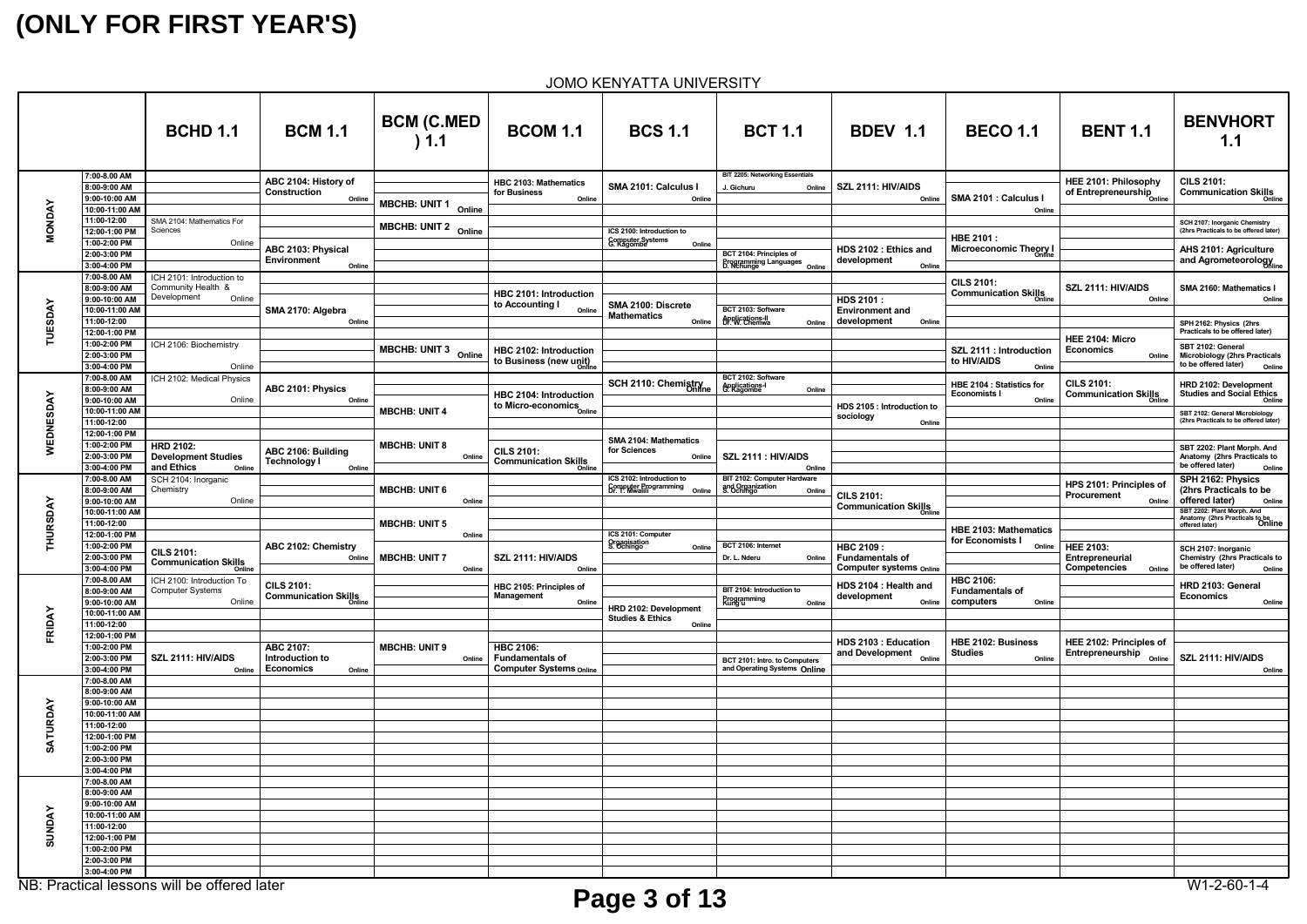|               |                                               | <b>BCHD 1.1</b>                                   | <b>BCM 1.1</b>                                                    | <b>BCM (C.MED</b><br>1.1       | <b>BCOM 1.1</b>                                                       | <b>BCS 1.1</b>                                                 | <b>BCT 1.1</b>                                                 | <b>BDEV 1.1</b>                                   | <b>BECO 1.1</b>                                | <b>BENT 1.1</b>                                         | <b>BENVHORT</b><br>1.1                                                                                        |
|---------------|-----------------------------------------------|---------------------------------------------------|-------------------------------------------------------------------|--------------------------------|-----------------------------------------------------------------------|----------------------------------------------------------------|----------------------------------------------------------------|---------------------------------------------------|------------------------------------------------|---------------------------------------------------------|---------------------------------------------------------------------------------------------------------------|
|               | 7:00-8.00 AM<br>8:00-9:00 AM<br>9:00-10:00 AM |                                                   | ABC 2104: History of<br><b>Construction</b><br>Online             | <b>MBCHB: UNIT 1</b>           | <b>HBC 2103: Mathematics</b><br>for Business<br>Online                | SMA 2101: Calculus I<br>Online                                 | BIT 2205: Networking Essentials<br>J. Gichuru<br>Online        | SZL 2111: HIV/AIDS<br>Online                      | SMA 2101 : Calculus I                          | HEE 2101: Philosophy<br>of Entrepreneurship             | <b>CILS 2101:</b><br><b>Communication Skills</b><br>Online                                                    |
| <b>MONDAY</b> | 10:00-11:00 AM<br>11:00-12:00                 | SMA 2104: Mathematics For                         |                                                                   | Online<br>MBCHB: UNIT 2 Online |                                                                       |                                                                |                                                                |                                                   | Online                                         |                                                         | SCH 2107: Inorganic Chemistry<br>(2hrs Practicals to be offered later)                                        |
|               | 12:00-1:00 PM<br>1:00-2:00 PM                 | Sciences<br>Online                                |                                                                   |                                |                                                                       | ICS 2100: Introduction to<br><b>Gomputer Systems</b><br>Online |                                                                |                                                   | <b>HBE 2101:</b>                               |                                                         |                                                                                                               |
|               | 2:00-3:00 PM<br>3:00-4:00 PM                  |                                                   | ABC 2103: Physical<br><b>Environment</b><br>Online                |                                |                                                                       |                                                                | BCT 2104: Principles of<br><b>Programming Languages</b> Online | HDS 2102 : Ethics and<br>development<br>Online    | Microeconomic Theory                           |                                                         | AHS 2101: Agriculture<br>and Agrometeorology                                                                  |
|               | 7:00-8.00 AM                                  | ICH 2101: Introduction to                         |                                                                   |                                |                                                                       |                                                                |                                                                |                                                   | <b>CILS 2101:</b>                              |                                                         |                                                                                                               |
|               | 8:00-9:00 AM<br>9:00-10:00 AM                 | Community Health &<br>Development<br>Online       |                                                                   |                                | HBC 2101: Introduction<br>to Accounting I                             | SMA 2100: Discrete                                             |                                                                | HDS 2101 :                                        | <b>CILC 210 ::</b><br>Communication Skills     | SZL 2111: HIV/AIDS<br>Online                            | SMA 2160: Mathematics I<br>Online                                                                             |
| ESDAY         | 10:00-11:00 AM<br>11:00-12:00                 |                                                   | SMA 2170: Algebra<br>Online                                       |                                | Online                                                                | <b>Mathematics</b><br>Online                                   | BCT 2103: Software<br>Applications-II<br>Online                | <b>Environment and</b><br>development<br>Online   |                                                |                                                         | SPH 2162: Physics (2hrs                                                                                       |
| ㄹ             | 12:00-1:00 PM<br>1:00-2:00 PM                 | ICH 2106: Biochemistry                            |                                                                   |                                |                                                                       |                                                                |                                                                |                                                   |                                                | HEE 2104: Micro                                         | Practicals to be offered later)                                                                               |
|               | 2:00-3:00 PM                                  |                                                   |                                                                   | MBCHB: UNIT 3 Online           | HBC 2102: Introduction<br>to Business (new unit)<br><sub>Online</sub> |                                                                |                                                                |                                                   | SZL 2111 : Introduction<br>to HIV/AIDS         | <b>Economics</b><br>Online                              | SBT 2102: General<br><b>Microbiology (2hrs Practicals</b><br>to be offered later)                             |
|               | 3:00-4:00 PM<br>7:00-8.00 AM                  | Online<br>ICH 2102: Medical Physics               |                                                                   |                                |                                                                       | SCH 2110: Chemistry                                            | BCT 2102: Software                                             |                                                   | Online<br>HBE 2104 : Statistics for            | <b>CILS 2101:</b>                                       | Online<br>HRD 2102: Development                                                                               |
|               | 8:00-9:00 AM<br>9:00-10:00 AM                 | Online                                            | ABC 2101: Physics<br>Online                                       |                                | HBC 2104: Introduction                                                |                                                                | Applications-I<br>Online                                       |                                                   | <b>Economists I</b><br>Online                  | <b>Communication Skills</b><br><b>Online</b>            | <b>Studies and Social Ethics</b><br>Online                                                                    |
| ESDAY         | 10:00-11:00 AM<br>11:00-12:00                 |                                                   |                                                                   | <b>MBCHB: UNIT 4</b>           | to Micro-economics<br><sub>Online</sub>                               |                                                                |                                                                | HDS 2105 : Introduction to<br>sociology<br>Online |                                                |                                                         | SBT 2102: General Microbiology<br>(2hrs Practicals to be offered later)                                       |
| WEDNI         | 12:00-1:00 PM                                 |                                                   |                                                                   |                                |                                                                       | <b>SMA 2104: Mathematics</b>                                   |                                                                |                                                   |                                                |                                                         |                                                                                                               |
|               | 1:00-2:00 PM<br>2:00-3:00 PM                  | <b>HRD 2102:</b><br><b>Development Studies</b>    | ABC 2106: Building<br><b>Technology I</b>                         | <b>MBCHB: UNIT 8</b><br>Online | <b>CILS 2101:</b><br>$\frac{1}{2}$ Communication Skills               | for Sciences<br>Online                                         | SZL 2111 : HIV/AIDS                                            |                                                   |                                                |                                                         | SBT 2202: Plant Morph. And<br>Anatomy (2hrs Practicals to                                                     |
|               | 3:00-4:00 PM<br>7:00-8.00 AM                  | and Ethics<br>Online<br>SCH 2104: Inorganic       | Online                                                            |                                |                                                                       | ICS 2102: Introduction to                                      | Online<br>BIT 2102: Computer Hardware                          |                                                   |                                                |                                                         | be offered later)<br>Online<br>SPH 2162: Physics                                                              |
|               | 8:00-9:00 AM<br>9:00-10:00 AM                 | Chemistry<br>Online                               |                                                                   | <b>MBCHB: UNIT 6</b><br>Online |                                                                       | Computer Programming<br>Dr. T. Mwalili<br>Online               | and Organization<br>S. Ochingo<br>Online                       | <b>CILS 2101:</b>                                 |                                                | HPS 2101: Principles of<br><b>Procurement</b><br>Online | (2hrs Practicals to be<br>offered later)<br>Online                                                            |
| THURSDAY      | 10:00-11:00 AM                                |                                                   |                                                                   |                                |                                                                       |                                                                |                                                                | <b>Communication Skills</b>                       |                                                |                                                         | SBT 2202: Plant Morph. And<br>SBT 2202: Plant morphis 2006<br>Anatomy (2hrs Practicals to be<br><b>Online</b> |
|               | 11:00-12:00<br>12:00-1:00 PM                  |                                                   |                                                                   | <b>MBCHB: UNIT 5</b><br>Online |                                                                       | ICS 2101: Computer                                             |                                                                |                                                   | HBE 2103: Mathematics<br>for Economists I      |                                                         |                                                                                                               |
|               | 1:00-2:00 PM<br>2:00-3:00 PM                  | <b>CILS 2101:</b>                                 | ABC 2102: Chemistry<br>Online                                     | <b>MBCHB: UNIT 7</b>           | SZL 2111: HIV/AIDS                                                    | Organisation<br>S. Ochingo<br>Online                           | BCT 2106: Internet<br>Dr. L. Nderu                             | <b>HBC 2109:</b><br>Online   Fundamentals of      | Online                                         | <b>HEE 2103:</b><br>Entrepreneurial                     | SCH 2107: Inorganic<br>Chemistry (2hrs Practicals to                                                          |
|               | 3:00-4:00 PM<br>7:00-8.00 AM                  | Communication Skills<br>ICH 2100: Introduction To |                                                                   | Online                         | Online                                                                |                                                                |                                                                | <b>Computer systems Online</b>                    | <b>HBC 2106:</b>                               | <b>Competencies</b><br>Online                           | be offered later)<br>Online                                                                                   |
|               | 8:00-9:00 AM                                  | <b>Computer Systems</b>                           | <b>CILS 2101:</b><br><b>Communication Skills</b><br><b>Online</b> |                                | HBC 2105: Principles of<br><b>Management</b>                          |                                                                | BIT 2104: Introduction to                                      | HDS 2104 : Health and<br>development              | <b>Fundamentals of</b>                         |                                                         | HRD 2103: General<br><b>Economics</b>                                                                         |
|               | 9:00-10:00 AM<br>10:00-11:00 AM               | Online                                            |                                                                   |                                | Online                                                                | HRD 2102: Development<br><b>Studies &amp; Ethics</b>           | Programming<br>Kung'u<br>Online                                | Online                                            | computers<br>Online                            |                                                         | Online                                                                                                        |
| FRIDAY        | 11:00-12:00<br>12:00-1:00 PM                  |                                                   |                                                                   |                                |                                                                       | Online                                                         |                                                                |                                                   |                                                |                                                         |                                                                                                               |
|               | 1:00-2:00 PM<br>2:00-3:00 PM                  | SZL 2111: HIV/AIDS                                | ABC 2107:<br>Introduction to                                      | <b>MBCHB: UNIT 9</b><br>Online | <b>HBC 2106:</b><br><b>Fundamentals of</b>                            |                                                                |                                                                | HDS 2103 : Education<br>and Development<br>Online | HBE 2102: Business<br><b>Studies</b><br>Online | HEE 2102: Principles of<br>Entrepreneurship<br>Online   | SZL 2111: HIV/AIDS                                                                                            |
|               | 3:00-4:00 PM                                  | Online                                            | <b>Economics</b><br>Online                                        |                                | <b>Computer Systems Online</b>                                        |                                                                | BCT 2101: Intro. to Computers<br>and Operating Systems Online  |                                                   |                                                |                                                         | Online                                                                                                        |
|               | 7:00-8.00 AM<br>8:00-9:00 AM                  |                                                   |                                                                   |                                |                                                                       |                                                                |                                                                |                                                   |                                                |                                                         |                                                                                                               |
|               | 9:00-10:00 AM<br>10:00-11:00 AM               |                                                   |                                                                   |                                |                                                                       |                                                                |                                                                |                                                   |                                                |                                                         |                                                                                                               |
| SATURDAY      | 11:00-12:00<br>12:00-1:00 PM                  |                                                   |                                                                   |                                |                                                                       |                                                                |                                                                |                                                   |                                                |                                                         |                                                                                                               |
|               | 1:00-2:00 PM                                  |                                                   |                                                                   |                                |                                                                       |                                                                |                                                                |                                                   |                                                |                                                         |                                                                                                               |
|               | 2:00-3:00 PM<br>3:00-4:00 PM                  |                                                   |                                                                   |                                |                                                                       |                                                                |                                                                |                                                   |                                                |                                                         |                                                                                                               |
|               | 7:00-8.00 AM<br>8:00-9:00 AM                  |                                                   |                                                                   |                                |                                                                       |                                                                |                                                                |                                                   |                                                |                                                         |                                                                                                               |
|               | 9:00-10:00 AM<br>10:00-11:00 AM               |                                                   |                                                                   |                                |                                                                       |                                                                |                                                                |                                                   |                                                |                                                         |                                                                                                               |
|               | 11:00-12:00                                   |                                                   |                                                                   |                                |                                                                       |                                                                |                                                                |                                                   |                                                |                                                         |                                                                                                               |
| <b>SUNDAY</b> | 12:00-1:00 PM<br>1:00-2:00 PM                 |                                                   |                                                                   |                                |                                                                       |                                                                |                                                                |                                                   |                                                |                                                         |                                                                                                               |
|               | 2:00-3:00 PM<br>3:00-4:00 PM                  |                                                   |                                                                   |                                |                                                                       |                                                                |                                                                |                                                   |                                                |                                                         |                                                                                                               |
|               |                                               | NB: Practical lessons will be offered later       |                                                                   |                                |                                                                       |                                                                |                                                                |                                                   |                                                |                                                         | W1-2-60-1-4                                                                                                   |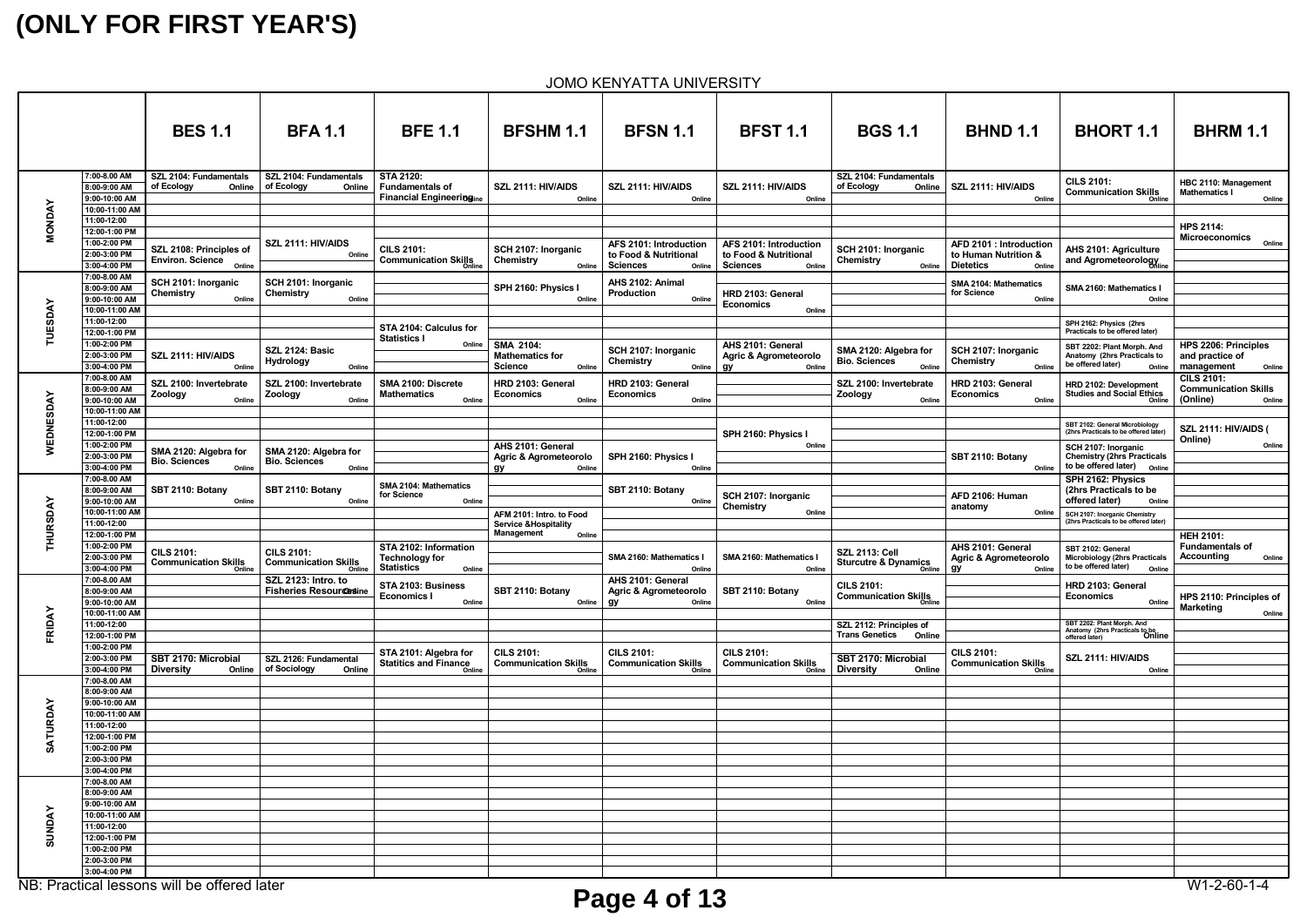|                      |                                                                                | <b>BES 1.1</b>                                                        | <b>BFA 1.1</b>                                                    | <b>BFE 1.1</b>                                                                | <b>BFSHM 1.1</b>                                                      | <b>BFSN 1.1</b>                                                                           | <b>BFST 1.1</b>                                                              | <b>BGS 1.1</b>                                                                                               | <b>BHND 1.1</b>                                                               | <b>BHORT 1.1</b>                                                                                                                                                      | <b>BHRM 1.1</b>                                                           |
|----------------------|--------------------------------------------------------------------------------|-----------------------------------------------------------------------|-------------------------------------------------------------------|-------------------------------------------------------------------------------|-----------------------------------------------------------------------|-------------------------------------------------------------------------------------------|------------------------------------------------------------------------------|--------------------------------------------------------------------------------------------------------------|-------------------------------------------------------------------------------|-----------------------------------------------------------------------------------------------------------------------------------------------------------------------|---------------------------------------------------------------------------|
|                      | 7:00-8.00 AM<br>8:00-9:00 AM<br>9:00-10:00 AM<br>10:00-11:00 AM                | SZL 2104: Fundamentals<br>of Ecology<br>Online                        | SZL 2104: Fundamentals<br>of Ecology<br>Online                    | <b>STA 2120:</b><br><b>Fundamentals of</b><br><b>Financial Engineeringine</b> | SZL 2111: HIV/AIDS<br>Online                                          | SZL 2111: HIV/AIDS<br>Online                                                              | SZL 2111: HIV/AIDS<br>Online                                                 | SZL 2104: Fundamentals<br>of Ecology<br>Online                                                               | SZL 2111: HIV/AIDS<br>Online                                                  | <b>CILS 2101:</b><br><b>Communication Skills</b><br>Online                                                                                                            | HBC 2110: Management<br><b>Mathematics I</b><br>Online                    |
| <b><i>NONDAY</i></b> | 11:00-12:00<br>12:00-1:00 PM<br>1:00-2:00 PM<br>2:00-3:00 PM<br>3:00-4:00 PM   | SZL 2108: Principles of<br><b>Environ. Science</b><br>Online          | SZL 2111: HIV/AIDS<br>Online                                      | <b>CILS 2101:</b><br><b>Communication Skills</b><br><b>Online</b>             | SCH 2107: Inorganic<br>Chemistry<br>Online                            | AFS 2101: Introduction<br>to Food & Nutritional<br><b>Sciences</b><br>Online              | AFS 2101: Introduction<br>to Food & Nutritional<br><b>Sciences</b><br>Online | SCH 2101: Inorganic<br>Chemistry<br>Online                                                                   | AFD 2101 : Introduction<br>to Human Nutrition &<br><b>Dietetics</b><br>Online | AHS 2101: Agriculture<br>and Agrometeorology                                                                                                                          | <b>HPS 2114:</b><br><b>Microeconomics</b><br>Online                       |
| ESDAY                | 7:00-8.00 AM<br>8:00-9:00 AM<br>9:00-10:00 AM<br>10:00-11:00 AM<br>11:00-12:00 | SCH 2101: Inorganic<br>Chemistry<br>Online                            | SCH 2101: Inorganic<br><b>Chemistry</b><br>Online                 |                                                                               | SPH 2160: Physics I<br>Online                                         | AHS 2102: Animal<br><b>Production</b><br>Online                                           | HRD 2103: General<br><b>Economics</b><br>Online                              |                                                                                                              | <b>SMA 2104: Mathematics</b><br>for Science<br>Online                         | SMA 2160: Mathematics I<br>Online                                                                                                                                     |                                                                           |
| 귿                    | 12:00-1:00 PM<br>1:00-2:00 PM<br>2:00-3:00 PM<br>3:00-4:00 PM                  | SZL 2111: HIV/AIDS<br>Online                                          | SZL 2124: Basic<br><b>Hydrology</b><br>Online                     | STA 2104: Calculus for<br><b>Statistics I</b><br>Online                       | SMA 2104:<br><b>Mathematics for</b><br><b>Science</b><br>Online       | SCH 2107: Inorganic<br>Chemistry<br>Online                                                | AHS 2101: General<br>Agric & Agrometeorolo<br>gy<br>Online                   | SMA 2120: Algebra for<br><b>Bio. Sciences</b><br>Online                                                      | SCH 2107: Inorganic<br>Chemistry<br>Online                                    | SPH 2162: Physics (2hrs<br>Practicals to be offered later)<br>SBT 2202: Plant Morph. And<br>Anatomy (2hrs Practicals to<br>be offered later)<br>Online                | HPS 2206: Principles<br>and practice of<br>management<br>Online           |
| ESDAY                | 7:00-8.00 AM<br>8:00-9:00 AM<br>9:00-10:00 AM<br>10:00-11:00 AM<br>11:00-12:00 | SZL 2100: Invertebrate<br>Zoology<br>Online                           | SZL 2100: Invertebrate<br>Zoology<br>Online                       | SMA 2100: Discrete<br><b>Mathematics</b><br>Online                            | HRD 2103: General<br><b>Economics</b><br>Online                       | HRD 2103: General<br><b>Economics</b><br>Online                                           |                                                                              | SZL 2100: Invertebrate<br>Zoology<br>Online                                                                  | HRD 2103: General<br><b>Economics</b><br>Online                               | HRD 2102: Development<br><b>Studies and Social Ethics</b><br>Online                                                                                                   | <b>CILS 2101:</b><br><b>Communication Skills</b><br>(Online)<br>Online    |
| WEDNI                | 12:00-1:00 PM<br>1:00-2:00 PM<br>2:00-3:00 PM<br>3:00-4:00 PM                  | SMA 2120: Algebra for<br><b>Bio. Sciences</b><br>Online               | SMA 2120: Algebra for<br><b>Bio. Sciences</b><br>Online           |                                                                               | AHS 2101: General<br><b>Agric &amp; Agrometeorolo</b><br>gy<br>Online | SPH 2160: Physics I<br>Online                                                             | SPH 2160: Physics I<br>Online                                                |                                                                                                              | SBT 2110: Botany<br>Online                                                    | SBT 2102: General Microbiology<br>(2hrs Practicals to be offered later)<br>SCH 2107: Inorganic<br><b>Chemistry (2hrs Practicals</b><br>to be offered later)<br>Online | <b>SZL 2111: HIV/AIDS (</b><br>Online)<br>Online                          |
|                      | 7:00-8.00 AM<br>8:00-9:00 AM<br>9:00-10:00 AM<br>10:00-11:00 AM<br>11:00-12:00 | SBT 2110: Botany<br>Online                                            | SBT 2110: Botany<br>Online                                        | SMA 2104: Mathematics<br>for Science<br>Online                                | AFM 2101: Intro. to Food<br><b>Service &amp; Hospitality</b>          | SBT 2110: Botany<br>Online                                                                | SCH 2107: Inorganic<br>Chemistry<br>Online                                   |                                                                                                              | AFD 2106: Human<br>anatomy<br>Online                                          | SPH 2162: Physics<br>(2hrs Practicals to be<br>offered later)<br>Online<br>SCH 2107: Inorganic Chemistry<br>(2hrs Practicals to be offered later)                     |                                                                           |
| <b>THURSDAY</b>      | 12:00-1:00 PM<br>1:00-2:00 PM<br>2:00-3:00 PM<br>3:00-4:00 PM                  | <b>CILS 2101:</b><br><b>Communication Skills</b><br><sub>Online</sub> | <b>CILS 2101:</b><br><b>Communication Skills</b><br><b>Online</b> | STA 2102: Information<br><b>Technology for</b><br><b>Statistics</b><br>Online | <b>Management</b><br>Online                                           | SMA 2160: Mathematics<br>Online                                                           | SMA 2160: Mathematics I<br>Online                                            | <b>SZL 2113: Cell</b><br><b>Sturcutre &amp; Dynamics</b>                                                     | AHS 2101: General<br><b>Agric &amp; Agrometeorolo</b><br>Online<br>gy         | SBT 2102: General<br>Microbiology (2hrs Practicals<br>to be offered later)<br>Online                                                                                  | <b>HEH 2101:</b><br><b>Fundamentals of</b><br><b>Accounting</b><br>Online |
|                      | 7:00-8.00 AM<br>8:00-9:00 AM<br>9:00-10:00 AM<br>10:00-11:00 AM                |                                                                       | SZL 2123: Intro. to<br><b>Fisheries Resour@sine</b>               | STA 2103: Business<br><b>Economics I</b><br>Online                            | SBT 2110: Botany<br>Online                                            | AHS 2101: General<br><b>Agric &amp; Agrometeorolo</b><br>gy<br>Online                     | SBT 2110: Botany<br>Online                                                   | <b>CILS 2101:</b><br><b>Communication Skills</b><br><sup>Online</sup>                                        |                                                                               | HRD 2103: General<br><b>Economics</b><br>Online                                                                                                                       | HPS 2110: Principles of<br><b>Marketing</b><br>Online                     |
| <b>FRIDAY</b>        | 11:00-12:00<br>12:00-1:00 PM<br>1:00-2:00 PM<br>2:00-3:00 PM<br>3:00-4:00 PM   | SBT 2170: Microbial<br><b>Diversity</b>                               | SZL 2126: Fundamental<br>Online   of Sociology<br>Online          | STA 2101: Algebra for<br>Statitics and Finance                                | <b>CILS 2101:</b><br><b>Communication Skills</b><br><sub>Online</sub> | <b>CILS 2101:</b><br>$\frac{1}{2}$ Communication Skills                                   | <b>CILS 2101:</b><br>Communication Skills                                    | SZL 2112: Principles of<br><b>Trans Genetics Online</b><br>SBT 2170: Microbial<br><b>Diversity</b><br>Online | <b>CILS 2101:</b><br><b>Communication Skills</b><br><b>Online</b>             | SBT 2202: Plant Morph. And<br>SBT 2202: Franches Fracticals to be<br>Anatomy (2hrs Practicals to be<br>Online<br>SZL 2111: HIV/AIDS<br>Online                         |                                                                           |
|                      | 7:00-8.00 AM<br>8:00-9:00 AM<br>9:00-10:00 AM<br>10:00-11:00 AM                |                                                                       |                                                                   |                                                                               |                                                                       |                                                                                           |                                                                              |                                                                                                              |                                                                               |                                                                                                                                                                       |                                                                           |
| SATURDAY             | 11:00-12:00<br>12:00-1:00 PM<br>1:00-2:00 PM<br>2:00-3:00 PM<br>3:00-4:00 PM   |                                                                       |                                                                   |                                                                               |                                                                       |                                                                                           |                                                                              |                                                                                                              |                                                                               |                                                                                                                                                                       |                                                                           |
|                      | 7:00-8.00 AM<br>8:00-9:00 AM<br>9:00-10:00 AM<br>10:00-11:00 AM                |                                                                       |                                                                   |                                                                               |                                                                       |                                                                                           |                                                                              |                                                                                                              |                                                                               |                                                                                                                                                                       |                                                                           |
| <b>SUNDAY</b>        | 11:00-12:00<br>12:00-1:00 PM<br>1:00-2:00 PM<br>2:00-3:00 PM<br>3:00-4:00 PM   |                                                                       |                                                                   |                                                                               |                                                                       |                                                                                           |                                                                              |                                                                                                              |                                                                               |                                                                                                                                                                       |                                                                           |
|                      |                                                                                | NB: Practical lessons will be offered later                           |                                                                   |                                                                               |                                                                       | $\blacksquare$ $\blacksquare$ $\blacksquare$ $\blacksquare$ $\blacksquare$ $\blacksquare$ |                                                                              |                                                                                                              |                                                                               |                                                                                                                                                                       | $W1 - 2 - 60 - 1 - 4$                                                     |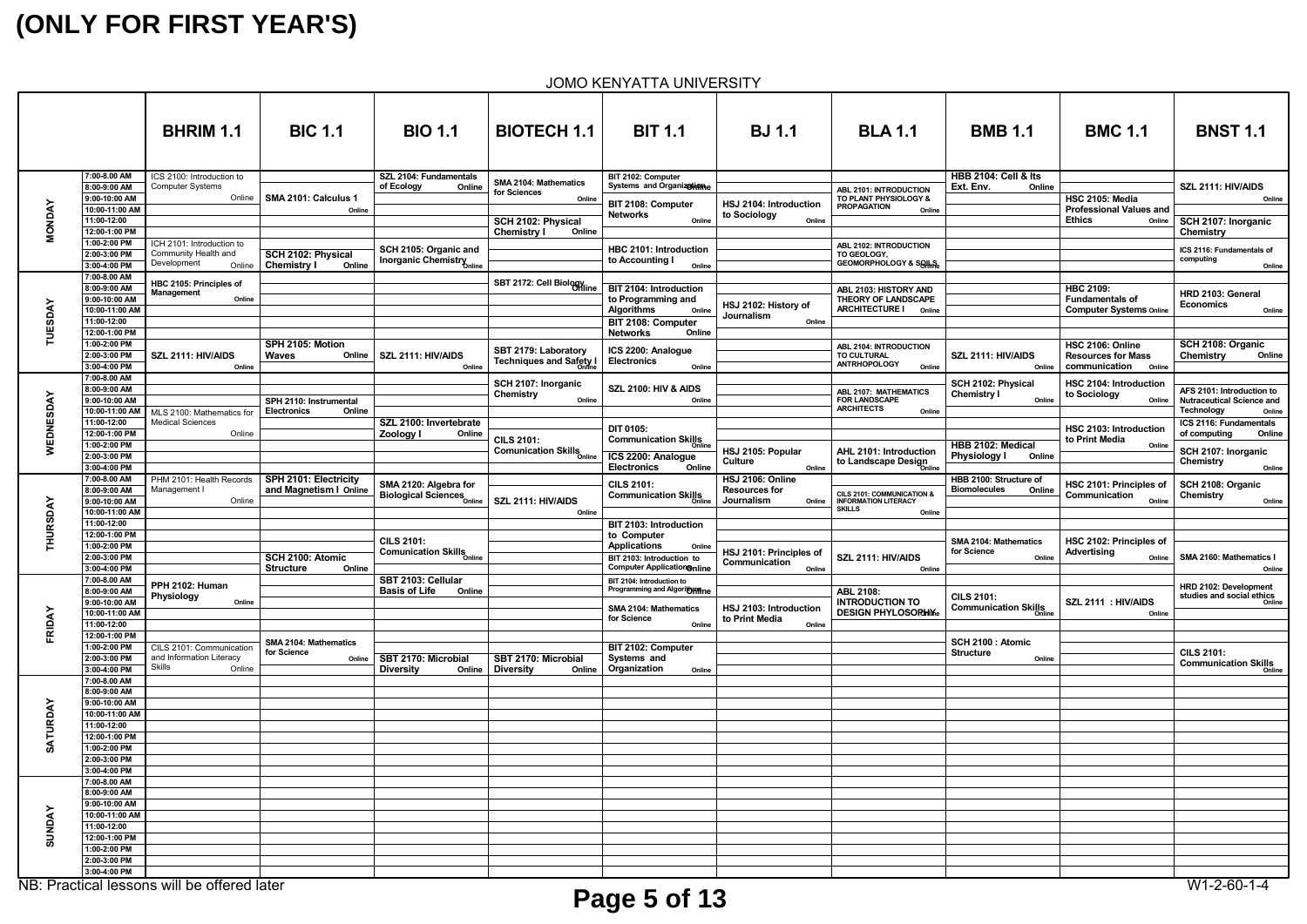|                 |                                                                                 | <b>BHRIM 1.1</b>                                                           | <b>BIC 1.1</b>                                         | <b>BIO 1.1</b>                                                 | <b>BIOTECH 1.1</b>                                               | <b>BIT 1.1</b>                                                                                                                | <b>BJ 1.1</b>                                                              | <b>BLA 1.1</b>                                                                         | <b>BMB 1.1</b>                                               | <b>BMC 1.1</b>                                                               | <b>BNST 1.1</b>                                                                                   |
|-----------------|---------------------------------------------------------------------------------|----------------------------------------------------------------------------|--------------------------------------------------------|----------------------------------------------------------------|------------------------------------------------------------------|-------------------------------------------------------------------------------------------------------------------------------|----------------------------------------------------------------------------|----------------------------------------------------------------------------------------|--------------------------------------------------------------|------------------------------------------------------------------------------|---------------------------------------------------------------------------------------------------|
|                 | 7:00-8.00 AM<br>8:00-9:00 AM<br>9:00-10:00 AM<br>10:00-11:00 AM                 | ICS 2100: Introduction to<br><b>Computer Systems</b><br>Online             | SMA 2101: Calculus 1<br>Online                         | SZL 2104: Fundamentals<br>of Ecology<br>Online                 | <b>SMA 2104: Mathematics</b><br>for Sciences<br>Online           | BIT 2102: Computer<br>Systems and Organizatione<br>BIT 2108: Computer<br><b>Networks</b>                                      | HSJ 2104: Introduction<br>to Sociology                                     | ABL 2101: INTRODUCTION<br>TO PLANT PHYSIOLOGY &<br><b>PROPAGATION</b><br>Online        | <b>HBB 2104: Cell &amp; Its</b><br>Ext. Env.<br>Online       | HSC 2105: Media<br><b>Professional Values and</b>                            | SZL 2111: HIV/AIDS<br>Online                                                                      |
| <b>MONDAY</b>   | 11:00-12:00<br>12:00-1:00 PM<br>1:00-2:00 PM<br>2:00-3:00 PM<br>3:00-4:00 PM    | ICH 2101: Introduction to<br>Community Health and<br>Development<br>Online | SCH 2102: Physical<br><b>Chemistry I</b><br>Online     | SCH 2105: Organic and<br>Inorganic Chemistry                   | SCH 2102: Physical<br><b>Chemistry I</b><br>Online               | Online<br>HBC 2101: Introduction<br>to Accounting I<br>Online                                                                 | Online                                                                     | ABL 2102: INTRODUCTION<br>TO GEOLOGY.<br><b>GEOMORPHOLOGY &amp; SOILS</b>              |                                                              | <b>Ethics</b><br>Online                                                      | SCH 2107: Inorganic<br><b>Chemistry</b><br>ICS 2116: Fundamentals of<br>computing<br>Online       |
|                 | 7:00-8.00 AM<br>8:00-9:00 AM<br>9:00-10:00 AM<br>10:00-11:00 AM                 | HBC 2105: Principles of<br><b>Management</b><br>Online                     |                                                        |                                                                | SBT 2172: Cell Biology                                           | <b>BIT 2104: Introduction</b><br>to Programming and<br><b>Algorithms</b><br>Online                                            | HSJ 2102: History of<br><b>Journalism</b>                                  | ABL 2103: HISTORY AND<br>THEORY OF LANDSCAPE<br>ARCHITECTURE I Online                  |                                                              | <b>HBC 2109:</b><br><b>Fundamentals of</b><br><b>Computer Systems Online</b> | HRD 2103: General<br><b>Economics</b><br>Online                                                   |
| <b>TUESDAY</b>  | 11:00-12:00<br>12:00-1:00 PM<br>1:00-2:00 PM<br>2:00-3:00 PM                    | SZL 2111: HIV/AIDS                                                         | SPH 2105: Motion<br><b>Waves</b><br>Online             | SZL 2111: HIV/AIDS                                             | SBT 2179: Laboratory<br>Techniques and Safety I                  | BIT 2108: Computer<br><b>Networks</b><br>Online<br>ICS 2200: Analogue<br><b>Electronics</b>                                   | Online                                                                     | ABL 2104: INTRODUCTION<br>TO CULTURAL<br><b>ANTRHOPOLOGY</b>                           | SZL 2111: HIV/AIDS                                           | HSC 2106: Online<br><b>Resources for Mass</b>                                | SCH 2108: Organic<br>Chemistry<br>Online                                                          |
|                 | 3:00-4:00 PM<br>7:00-8.00 AM<br>8:00-9:00 AM<br>9:00-10:00 AM<br>10:00-11:00 AM | Online<br>MLS 2100: Mathematics for                                        | SPH 2110: Instrumental<br><b>Electronics</b><br>Online | Online                                                         | SCH 2107: Inorganic<br>Chemistry<br>Online                       | Online<br><b>SZL 2100: HIV &amp; AIDS</b><br>Online                                                                           |                                                                            | Online<br>ABL 2107: MATHEMATICS<br><b>FOR LANDSCAPE</b><br><b>ARCHITECTS</b><br>Online | Online<br>SCH 2102: Physical<br><b>Chemistry I</b><br>Online | communication<br>Online<br>HSC 2104: Introduction<br>to Sociology<br>Online  | AFS 2101: Introduction to<br><b>Nutraceutical Science and</b><br><b>Technology</b><br>Online      |
| WEDNESDAY       | 11:00-12:00<br>12:00-1:00 PM<br>1:00-2:00 PM<br>2:00-3:00 PM                    | <b>Medical Sciences</b><br>Online                                          |                                                        | SZL 2100: Invertebrate<br><b>Zoology I</b><br>Online           | <b>CILS 2101:</b><br>CILO $2101$ .<br>Comunication Skills online | <b>DIT 0105:</b><br><b>Communication Skills</b><br>Communication Skills<br>ICS 2200: Analogue                                 | HSJ 2105: Popular<br>Culture                                               | AHL 2101: Introduction<br>to Landscape Design                                          | HBB 2102: Medical<br><b>Physiology I</b><br>Online           | HSC 2103: Introduction<br>to Print Media<br>Online                           | ICS 2116: Fundamentals<br>of computing<br>Online<br>SCH 2107: Inorganic<br>Chemistry              |
|                 | 3:00-4:00 PM<br>7:00-8.00 AM<br>8:00-9:00 AM<br>9:00-10:00 AM                   | PHM 2101: Health Records<br>Management I<br>Online                         | SPH 2101: Electricity<br>and Magnetism I Online        | SMA 2120: Algebra for<br>Biological Sciences <sub>Online</sub> | SZL 2111: HIV/AIDS                                               | Online<br><b>Electronics</b><br><b>CILS 2101:</b><br>Communication Skills                                                     | Online<br>HSJ 2106: Online<br><b>Resources for</b><br>Journalism<br>Online | CILS 2101: COMMUNICATION &<br><b>INFORMATION LITERACY</b><br><b>SKILLS</b>             | HBB 2100: Structure of<br><b>Biomolecules</b><br>Online      | HSC 2101: Principles of<br>Communication<br>Online                           | Online<br>SCH 2108: Organic<br>Chemistry<br>Online                                                |
| <b>THURSDAY</b> | 10:00-11:00 AM<br>11:00-12:00<br>12:00-1:00 PM<br>1:00-2:00 PM                  |                                                                            |                                                        | <b>CILS 2101:</b><br>$\frac{C_1}{C_2}$ Comunication Skills     | Online                                                           | <b>BIT 2103: Introduction</b><br>to Computer<br><b>Applications</b><br>Online                                                 | HSJ 2101: Principles of                                                    | Online                                                                                 | SMA 2104: Mathematics<br>for Science                         | HSC 2102: Principles of<br>Advertising                                       |                                                                                                   |
|                 | 2:00-3:00 PM<br>3:00-4:00 PM<br>7:00-8.00 AM<br>8:00-9:00 AM<br>9:00-10:00 AM   | PPH 2102: Human<br>Physiology<br>Online                                    | SCH 2100: Atomic<br><b>Structure</b><br>Online         | SBT 2103: Cellular<br><b>Basis of Life</b><br>Online           |                                                                  | BIT 2103: Introduction to<br><b>Computer Application Snline</b><br>BIT 2104: Introduction to<br>Programming and Algoritomsine | Communication<br>Online                                                    | SZL 2111: HIV/AIDS<br>Online<br><b>ABL 2108:</b><br><b>INTRODUCTION TO</b>             | Online<br><b>CILS 2101:</b>                                  | Online<br>SZL 2111 : HIV/AIDS                                                | SMA 2160: Mathematics I<br>Online<br>HRD 2102: Development<br>studies and social ethics<br>Online |
| FRIDAY          | 10:00-11:00 AM<br>11:00-12:00<br>12:00-1:00 PM<br>1:00-2:00 PM                  | CILS 2101: Communication                                                   | SMA 2104: Mathematics                                  |                                                                |                                                                  | SMA 2104: Mathematics<br>for Science<br>Online<br>BIT 2102: Computer                                                          | HSJ 2103: Introduction<br>to Print Media<br>Online                         | <b>DESIGN PHYLOSORHIYe</b>                                                             | SCH 2100 : Atomic                                            | Online                                                                       |                                                                                                   |
|                 | 2:00-3:00 PM<br>3:00-4:00 PM<br>7:00-8.00 AM<br>8:00-9:00 AM                    | and Information Literacy<br><b>Skills</b><br>Online                        | for Science<br>Online                                  | SBT 2170: Microbial<br><b>Diversity</b><br>Online              | SBT 2170: Microbial<br>Online<br><b>Diversity</b>                | Systems and<br>Organization<br>Online                                                                                         |                                                                            |                                                                                        | <b>Structure</b><br>Online                                   |                                                                              | <b>CILS 2101:</b><br>Communication Skills                                                         |
| SATURDAY        | 9:00-10:00 AM<br>10:00-11:00 AM<br>11:00-12:00<br>12:00-1:00 PM                 |                                                                            |                                                        |                                                                |                                                                  |                                                                                                                               |                                                                            |                                                                                        |                                                              |                                                                              |                                                                                                   |
|                 | 1:00-2:00 PM<br>2:00-3:00 PM<br>3:00-4:00 PM<br>7:00-8.00 AM                    |                                                                            |                                                        |                                                                |                                                                  |                                                                                                                               |                                                                            |                                                                                        |                                                              |                                                                              |                                                                                                   |
| SUNDAY          | 8:00-9:00 AM<br>9:00-10:00 AM<br>10:00-11:00 AM<br>11:00-12:00                  |                                                                            |                                                        |                                                                |                                                                  |                                                                                                                               |                                                                            |                                                                                        |                                                              |                                                                              |                                                                                                   |
|                 | 12:00-1:00 PM<br>1:00-2:00 PM<br>2:00-3:00 PM<br>3:00-4:00 PM                   | NB: Practical lessons will be offered later                                |                                                        |                                                                |                                                                  |                                                                                                                               |                                                                            |                                                                                        |                                                              |                                                                              | $W1 - 2 - 60 - 1 - 4$                                                                             |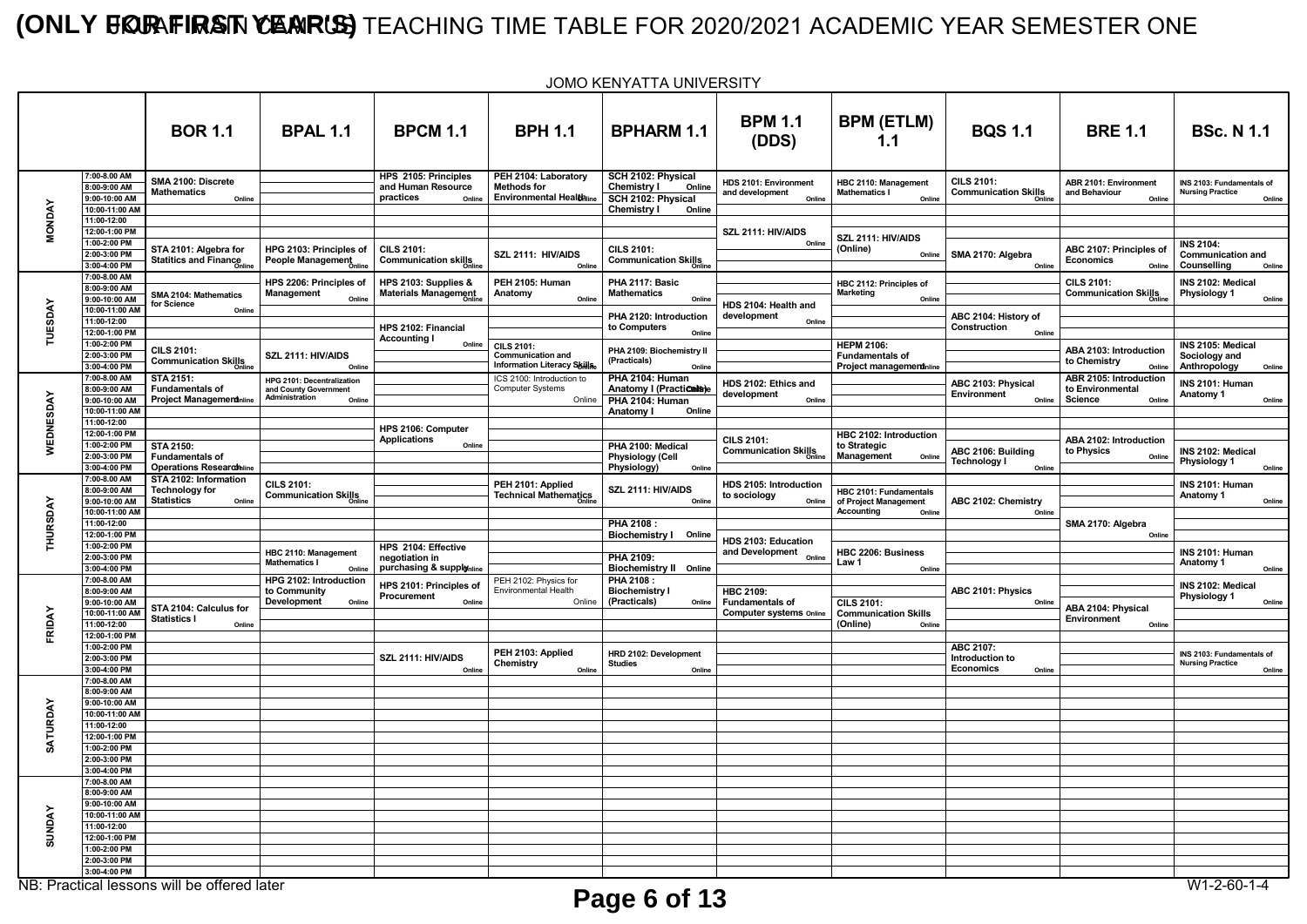NB: Practical lessons will be offered later W1-2-60-1-4

### **(ONLY FIQIRAFIRISIN YEARISS)** TEACHING TIME TABLE FOR 2020/2021 ACADEMIC YEAR SEMESTER ONE

|                | <b>JOMO KENYATTA UNIVERSITY</b>                                                 |                                                                                     |                                                                                         |                                                                              |                                                                               |                                                                                                          |                                                                              |                                                                                |                                              |  |  |  |
|----------------|---------------------------------------------------------------------------------|-------------------------------------------------------------------------------------|-----------------------------------------------------------------------------------------|------------------------------------------------------------------------------|-------------------------------------------------------------------------------|----------------------------------------------------------------------------------------------------------|------------------------------------------------------------------------------|--------------------------------------------------------------------------------|----------------------------------------------|--|--|--|
|                |                                                                                 | <b>BOR 1.1</b>                                                                      | <b>BPAL 1.1</b>                                                                         | <b>BPCM 1.1</b>                                                              | <b>BPH 1.1</b>                                                                | <b>BPHARM 1.1</b>                                                                                        | <b>BPM 1.1</b><br>(DDS)                                                      | <b>BPM (ETLM)</b><br>1.1                                                       | <b>BQS 1.1</b>                               |  |  |  |
|                | 7:00-8.00 AM<br>8:00-9:00 AM<br>9:00-10:00 AM<br>10:00-11:00 AM                 | SMA 2100: Discrete<br><b>Mathematics</b><br>Online                                  |                                                                                         | HPS 2105: Principles<br>and Human Resource<br>practices<br>Online            | PEH 2104: Laboratory<br><b>Methods for</b><br><b>Environmental Healthline</b> | SCH 2102: Physical<br><b>Chemistry I</b><br>Online<br>SCH 2102: Physical<br><b>Chemistry I</b><br>Online | HDS 2101: Environment<br>and development<br>Online                           | HBC 2110: Management<br><b>Mathematics I</b><br>Online                         | <b>CILS 2101:</b><br><b>Communication Sk</b> |  |  |  |
| <b>MONDAY</b>  | 11:00-12:00<br>12:00-1:00 PM<br>1:00-2:00 PM<br>2:00-3:00 PM<br>3:00-4:00 PM    | STA 2101: Algebra for<br><b>Statitics and Finance</b>                               | HPG 2103: Principles of<br>People Management                                            | <b>CILS 2101:</b><br>Communication skills                                    | SZL 2111: HIV/AIDS<br>Online                                                  | <b>CILS 2101:</b><br><b>Communication Skills</b>                                                         | SZL 2111: HIV/AIDS<br>Online                                                 | SZL 2111: HIV/AIDS<br>(Online)<br>Online                                       | SMA 2170: Algebra                            |  |  |  |
|                | 7:00-8.00 AM<br>8:00-9:00 AM<br>$9:00 - 10:00$ AM<br>10:00-11:00 AM             | <b>SMA 2104: Mathematics</b><br>for Science<br>Online                               | HPS 2206: Principles of<br><b>Management</b><br>Online                                  | HPS 2103: Supplies &<br><b>Materials Management</b>                          | PEH 2105: Human<br>Anatomy<br>Online                                          | PHA 2117: Basic<br><b>Mathematics</b><br>Online<br>PHA 2120: Introduction                                | HDS 2104: Health and<br>development                                          | HBC 2112: Principles of<br><b>Marketing</b><br>Online                          | ABC 2104: History                            |  |  |  |
| <b>TUESDAY</b> | 11:00-12:00<br>12:00-1:00 PM<br>1:00-2:00 PM<br>2:00-3:00 PM<br>3:00-4:00 PM    | <b>CILS 2101:</b><br><b>CILD LIVI.</b><br>Communication Skills<br><sup>Online</sup> | SZL 2111: HIV/AIDS<br>Online                                                            | HPS 2102: Financial<br><b>Accounting I</b><br>Online                         | <b>CILS 2101:</b><br><b>Communication and</b><br>Information Literacy Skills. | to Computers<br>Online<br>PHA 2109: Biochemistry II<br>(Practicals)<br>Online                            | Online                                                                       | <b>HEPM 2106:</b><br><b>Fundamentals of</b><br><b>Project management</b> nline | <b>Construction</b>                          |  |  |  |
|                | 7:00-8.00 AM<br>8:00-9:00 AM<br>9:00-10:00 AM<br>10:00-11:00 AM                 | <b>STA 2151:</b><br><b>Fundamentals of</b><br><b>Project Managementinine</b>        | HPG 2101: Decentralization<br>and County Government<br>Administration<br>Online         |                                                                              | ICS 2100: Introduction to<br><b>Computer Systems</b><br>Online                | PHA 2104: Human<br>Anatomy I (Practicalis)e<br>PHA 2104: Human<br><b>Anatomy I</b><br>Online             | HDS 2102: Ethics and<br>development<br>Online                                |                                                                                | ABC 2103: Physica<br>Environment             |  |  |  |
| WEDNESDAY      | 11:00-12:00<br>12:00-1:00 PM<br>1:00-2:00 PM<br>2:00-3:00 PM<br>3:00-4:00 PM    | <b>STA 2150:</b><br><b>Fundamentals of</b><br><b>Operations Researchhline</b>       |                                                                                         | HPS 2106: Computer<br><b>Applications</b><br>Online                          |                                                                               | PHA 2100: Medical<br><b>Physiology (Cell</b><br>Physiology)<br>Online                                    | <b>CILS 2101:</b><br>CILO 2 IV<br>Communication Skills                       | <b>HBC 2102: Introduction</b><br>to Strategic<br>Management<br>Online          | ABC 2106: Building<br><b>Technology I</b>    |  |  |  |
|                | 7:00-8.00 AM<br>8:00-9:00 AM<br>9:00-10:00 AM<br>10:00-11:00 AM                 | STA 2102: Information<br><b>Technology for</b><br><b>Statistics</b><br>Online       | <b>CILS 2101:</b><br><b>COMMUNICATION Skills</b><br><b>Communication Skills</b>         |                                                                              | PEH 2101: Applied<br><b>Technical Mathematics</b>                             | SZL 2111: HIV/AIDS<br>Online                                                                             | HDS 2105: Introduction<br>to sociology<br>Online                             | HBC 2101: Fundamentals<br>of Project Management<br>Accounting<br>Online        | ABC 2102: Chemis                             |  |  |  |
| THURSDAY       | 11:00-12:00<br>12:00-1:00 PM<br>1:00-2:00 PM<br>2:00-3:00 PM                    |                                                                                     | HBC 2110: Management<br><b>Mathematics I</b>                                            | HPS 2104: Effective<br>negotiation in                                        |                                                                               | <b>PHA 2108:</b><br><b>Biochemistry I</b><br>Online<br>PHA 2109:                                         | HDS 2103: Education<br>and Development<br>Online                             | HBC 2206: Business<br>Law 1                                                    |                                              |  |  |  |
|                | 3:00-4:00 PM<br>7:00-8.00 AM<br>8:00-9:00 AM<br>9:00-10:00 AM<br>10:00-11:00 AM | STA 2104: Calculus for                                                              | <b>Online</b><br>HPG 2102: Introduction<br>to Community<br><b>Development</b><br>Online | purchasing & supplynline<br>HPS 2101: Principles of<br>Procurement<br>Online | PEH 2102: Physics for<br><b>Environmental Health</b><br>Online                | <b>Biochemistry II Online</b><br><b>PHA 2108:</b><br><b>Biochemistry I</b><br>(Practicals)<br>Online     | <b>HBC 2109:</b><br><b>Fundamentals of</b><br><b>Computer systems Online</b> | Online<br><b>CILS 2101:</b><br><b>Communication Skills</b>                     | ABC 2101: Physics                            |  |  |  |
| <b>FRIDAY</b>  | 11:00-12:00<br>12:00-1:00 PM<br>1:00-2:00 PM<br>2:00-3:00 PM                    | <b>Statistics I</b><br>Online                                                       |                                                                                         | SZL 2111: HIV/AIDS                                                           | PEH 2103: Applied<br><b>Chemistry</b>                                         | HRD 2102: Development<br><b>Studies</b>                                                                  |                                                                              | (Online)<br>Online                                                             | <b>ABC 2107:</b><br>Introduction to          |  |  |  |
|                | 3:00-4:00 PM<br>7:00-8.00 AM<br>8:00-9:00 AM<br>9:00-10:00 AM<br>10:00-11:00 AM |                                                                                     |                                                                                         | Online                                                                       | Online                                                                        | Online                                                                                                   |                                                                              |                                                                                | <b>Economics</b>                             |  |  |  |
| SATURDAY       | 11:00-12:00<br>12:00-1:00 PM<br>1:00-2:00 PM<br>2:00-3:00 PM                    |                                                                                     |                                                                                         |                                                                              |                                                                               |                                                                                                          |                                                                              |                                                                                |                                              |  |  |  |
|                | 3:00-4:00 PM<br>7:00-8.00 AM<br>8:00-9:00 AM<br>9:00-10:00 AM<br>10:00-11:00 AM |                                                                                     |                                                                                         |                                                                              |                                                                               |                                                                                                          |                                                                              |                                                                                |                                              |  |  |  |
| <b>SUNDAY</b>  | 11:00-12:00<br>12:00-1:00 PM<br>1:00-2:00 PM<br>2:00-3:00 PM                    |                                                                                     |                                                                                         |                                                                              |                                                                               |                                                                                                          |                                                                              |                                                                                |                                              |  |  |  |
|                | 3:00-4:00 PM                                                                    |                                                                                     |                                                                                         |                                                                              |                                                                               |                                                                                                          |                                                                              |                                                                                |                                              |  |  |  |

| (ETLM)<br>1.1                                    | <b>BQS 1.1</b>                                                    | <b>BRE 1.1</b>                                                                          | <b>BSc. N 1.1</b>                                                         |  |  |
|--------------------------------------------------|-------------------------------------------------------------------|-----------------------------------------------------------------------------------------|---------------------------------------------------------------------------|--|--|
| <b>Management</b><br>cs I<br>Online              | <b>CILS 2101:</b><br><b>Communication Skills</b><br>Önline        | <b>ABR 2101: Environment</b><br>and Behaviour<br>Online                                 | INS 2103: Fundamentals of<br><b>Nursing Practice</b><br>Online            |  |  |
| : HIV/AIDS<br>Online                             | SMA 2170: Algebra<br>Online                                       | ABC 2107: Principles of<br><b>Economics</b><br>Online                                   | <b>INS 2104:</b><br><b>Communication and</b><br>Counselling<br>Online     |  |  |
| <b>Principles of</b><br>Online                   | ABC 2104: History of                                              | <b>CILS 2101:</b><br><b>Communication Skills</b><br><sub>Online</sub>                   | INS 2102: Medical<br><b>Physiology 1</b><br>Online                        |  |  |
| 06:<br>ntals of                                  | <b>Construction</b><br>Online                                     | <b>ABA 2103: Introduction</b><br>to Chemistry                                           | INS 2105: Medical<br>Sociology and                                        |  |  |
| anagementinline                                  | ABC 2103: Physical<br><b>Environment</b><br>Online                | Online<br><b>ABR 2105: Introduction</b><br>to Environmental<br><b>Science</b><br>Online | Anthropology<br>Online<br>INS 2101: Human<br><b>Anatomy 1</b><br>Online   |  |  |
| : Introduction<br>ıic<br>ıent<br>Online          | ABC 2106: Building<br><b>Technology I</b>                         | <b>ABA 2102: Introduction</b><br>to Physics<br>Online                                   | <b>INS 2102: Medical</b><br><b>Physiology 1</b>                           |  |  |
| <b>Fundamentals</b><br>Management<br>g<br>Online | Online<br>ABC 2102: Chemistry<br>Online                           |                                                                                         | Online<br><b>INS 2101: Human</b><br><b>Anatomy 1</b><br>Online            |  |  |
| <b>S: Business</b>                               |                                                                   | SMA 2170: Algebra<br>Online                                                             | INS 2101: Human                                                           |  |  |
| Online<br>ı:                                     | ABC 2101: Physics<br>Online                                       |                                                                                         | <b>Anatomy 1</b><br>Online<br>INS 2102: Medical<br>Physiology 1<br>Online |  |  |
| ication Skills<br>Online                         |                                                                   | ABA 2104: Physical<br><b>Environment</b><br>Online                                      |                                                                           |  |  |
|                                                  | <b>ABC 2107:</b><br>Introduction to<br><b>Economics</b><br>Online |                                                                                         | INS 2103: Fundamentals of<br><b>Nursing Practice</b><br>Online            |  |  |
|                                                  |                                                                   |                                                                                         |                                                                           |  |  |
|                                                  |                                                                   |                                                                                         |                                                                           |  |  |
|                                                  |                                                                   |                                                                                         |                                                                           |  |  |
|                                                  |                                                                   |                                                                                         |                                                                           |  |  |
|                                                  |                                                                   |                                                                                         | $M/12$ $R$ $A$ $A$                                                        |  |  |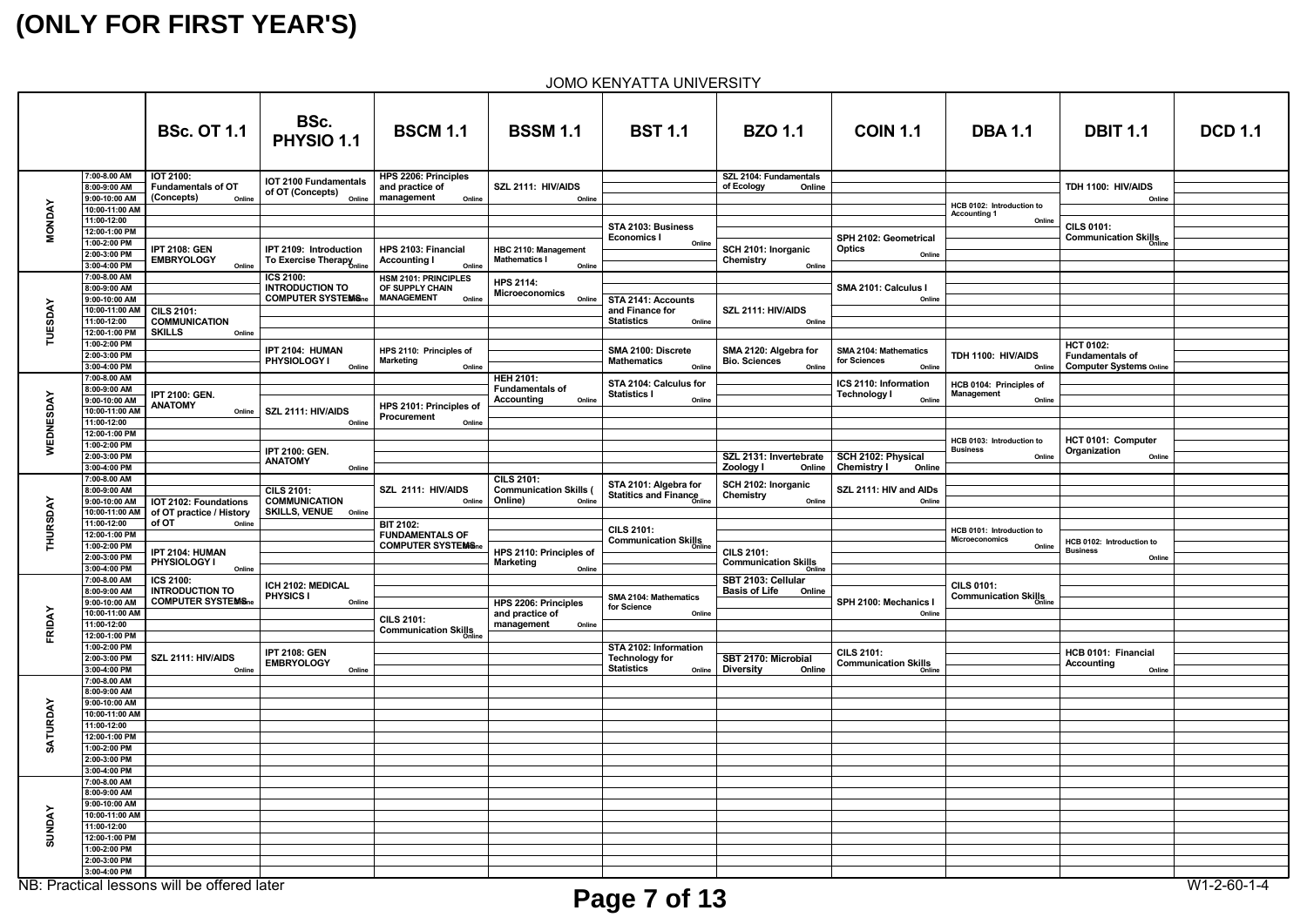NB: Practical lessons will be offered later W1-2-60-1-4

| <b>DBA 1.1</b>                                                    | <b>DBIT 1.1</b>                                                              | <b>DCD 1.1</b>    |
|-------------------------------------------------------------------|------------------------------------------------------------------------------|-------------------|
| HCB 0102: Introduction to                                         | TDH 1100: HIV/AIDS<br>Online                                                 |                   |
| Accounting 1<br>Online                                            | <b>CILS 0101:</b><br><b>COMMUNICATION Skills</b><br>Communication Skills     |                   |
|                                                                   |                                                                              |                   |
|                                                                   |                                                                              |                   |
| TDH 1100: HIV/AIDS<br>Online                                      | <b>HCT 0102:</b><br><b>Fundamentals of</b><br><b>Computer Systems Online</b> |                   |
| HCB 0104: Principles of<br><b>Management</b><br>Online            |                                                                              |                   |
| HCB 0103: Introduction to<br><b>Business</b><br>Online            | HCT 0101: Computer<br>Organization<br>Online                                 |                   |
|                                                                   |                                                                              |                   |
| HCB 0101: Introduction to<br><b>Microeconomics</b><br>Online      | HCB 0102: Introduction to<br><b>Business</b><br>Online                       |                   |
| CILS 0101:<br><b>Communication Skills</b><br>Communication Skills |                                                                              |                   |
|                                                                   | HCB 0101: Financial                                                          |                   |
|                                                                   | <b>Accounting</b><br>Online                                                  |                   |
|                                                                   |                                                                              |                   |
|                                                                   |                                                                              |                   |
|                                                                   |                                                                              |                   |
|                                                                   |                                                                              |                   |
|                                                                   |                                                                              |                   |
|                                                                   |                                                                              | $11/4$ $20/4$ $4$ |

|                |                                                                | <b>BSc. OT 1.1</b>                                                      | BSc.<br>PHYSIO 1.1                                                      | <b>BSCM 1.1</b>                                                                 | <b>BSSM 1.1</b>                                                           | <b>BST 1.1</b>                                                      | <b>BZO 1.1</b>                                          | <b>COIN 1.1</b>                                                   | <b>DBA 1.1</b>                                                                  | <b>DBIT 1.1</b>                                                              | <b>DCD 1.1</b> |
|----------------|----------------------------------------------------------------|-------------------------------------------------------------------------|-------------------------------------------------------------------------|---------------------------------------------------------------------------------|---------------------------------------------------------------------------|---------------------------------------------------------------------|---------------------------------------------------------|-------------------------------------------------------------------|---------------------------------------------------------------------------------|------------------------------------------------------------------------------|----------------|
|                | 7:00-8.00 AM<br>8:00-9:00 AM<br>9:00-10:00 AM                  | <b>IOT 2100:</b><br><b>Fundamentals of OT</b><br>(Concepts)<br>Online   | IOT 2100 Fundamentals<br>of OT (Concepts)<br>Online                     | <b>HPS 2206: Principles</b><br>and practice of<br>management<br>Online          | SZL 2111: HIV/AIDS<br>Online                                              |                                                                     | SZL 2104: Fundamentals<br>of Ecology<br>Online          |                                                                   | HCB 0102: Introduction to                                                       | TDH 1100: HIV/AIDS<br>Online                                                 |                |
| <b>MONDAY</b>  | 10:00-11:00 AM<br>11:00-12:00<br>12:00-1:00 PM<br>1:00-2:00 PM |                                                                         |                                                                         |                                                                                 |                                                                           | STA 2103: Business<br><b>Economics I</b><br>Online                  |                                                         | SPH 2102: Geometrical                                             | <b>Accounting 1</b><br>Online                                                   | <b>CILS 0101:</b><br><b>CILC U.U.</b><br>Communication Skills                |                |
|                | 2:00-3:00 PM<br>3:00-4:00 PM                                   | <b>IPT 2108: GEN</b><br><b>EMBRYOLOGY</b><br>Online                     | IPT 2109: Introduction<br>To Exercise Therapy                           | HPS 2103: Financial<br><b>Accounting I</b><br>Online                            | HBC 2110: Management<br><b>Mathematics I</b><br>Online                    |                                                                     | SCH 2101: Inorganic<br>Chemistry<br>Online              | <b>Optics</b><br>Online                                           |                                                                                 |                                                                              |                |
|                | 7:00-8.00 AM<br>8:00-9:00 AM<br>9:00-10:00 AM                  |                                                                         | <b>ICS 2100:</b><br><b>INTRODUCTION TO</b><br><b>COMPUTER SYSTEMSne</b> | <b>HSM 2101: PRINCIPLES</b><br>OF SUPPLY CHAIN<br><b>MANAGEMENT</b><br>Online   | <b>HPS 2114:</b><br>Microeconomics<br>Online                              | STA 2141: Accounts                                                  |                                                         | SMA 2101: Calculus I<br>Online                                    |                                                                                 |                                                                              |                |
| <b>TUESDAY</b> | 10:00-11:00 AM<br>11:00-12:00<br>12:00-1:00 PM                 | <b>CILS 2101:</b><br><b>COMMUNICATION</b><br><b>SKILLS</b><br>Online    |                                                                         |                                                                                 |                                                                           | and Finance for<br><b>Statistics</b><br>Online                      | SZL 2111: HIV/AIDS<br>Online                            |                                                                   |                                                                                 |                                                                              |                |
|                | 1:00-2:00 PM<br>2:00-3:00 PM<br>3:00-4:00 PM                   |                                                                         | IPT 2104: HUMAN<br>PHYSIOLOGY I<br>Online                               | HPS 2110: Principles of<br><b>Marketing</b><br>Online                           |                                                                           | SMA 2100: Discrete<br><b>Mathematics</b><br>Online                  | SMA 2120: Algebra for<br><b>Bio. Sciences</b><br>Online | SMA 2104: Mathematics<br>for Sciences<br>Online                   | TDH 1100: HIV/AIDS<br>Online                                                    | <b>HCT 0102:</b><br><b>Fundamentals of</b><br><b>Computer Systems Online</b> |                |
|                | 7:00-8.00 AM<br>8:00-9:00 AM<br>9:00-10:00 AM                  | IPT 2100: GEN.<br><b>ANATOMY</b>                                        |                                                                         |                                                                                 | <b>HEH 2101:</b><br><b>Fundamentals of</b><br><b>Accounting</b><br>Online | STA 2104: Calculus for<br><b>Statistics I</b><br>Online             |                                                         | ICS 2110: Information<br><b>Technology I</b><br>Online            | HCB 0104: Principles of<br><b>Management</b><br>Online                          |                                                                              |                |
| WEDNESDAY      | 10:00-11:00 AM<br>11:00-12:00                                  | Online                                                                  | SZL 2111: HIV/AIDS<br>Online                                            | HPS 2101: Principles of<br><b>Procurement</b><br>Online                         |                                                                           |                                                                     |                                                         |                                                                   |                                                                                 |                                                                              |                |
|                | 12:00-1:00 PM<br>1:00-2:00 PM                                  |                                                                         |                                                                         |                                                                                 |                                                                           |                                                                     |                                                         |                                                                   | HCB 0103: Introduction to                                                       | HCT 0101: Computer                                                           |                |
|                | 2:00-3:00 PM                                                   |                                                                         | IPT 2100: GEN.<br><b>ANATOMY</b>                                        |                                                                                 |                                                                           |                                                                     | SZL 2131: Invertebrate                                  | SCH 2102: Physical                                                | <b>Business</b><br>Online                                                       | Organization<br>Online                                                       |                |
|                | 3:00-4:00 PM<br>7:00-8.00 AM                                   |                                                                         | Online                                                                  | SZL 2111: HIV/AIDS                                                              | <b>CILS 2101:</b>                                                         |                                                                     | Zoology I<br>Online                                     | <b>Chemistry I</b><br>Online                                      |                                                                                 |                                                                              |                |
|                | 8:00-9:00 AM<br>9:00-10:00 AM                                  | IOT 2102: Foundations                                                   | <b>CILS 2101:</b><br><b>COMMUNICATION</b><br><b>SKILLS, VENUE</b>       | Online                                                                          | <b>Communication Skills (</b><br>Online)<br>Online                        | STA 2101: Algebra for<br>Statitics and Finance                      | SCH 2102: Inorganic<br>Chemistry<br>Online              | SZL 2111: HIV and AIDs<br>Online                                  |                                                                                 |                                                                              |                |
| THURSDAY       | 10:00-11:00 AM<br>11:00-12:00<br>12:00-1:00 PM                 | of OT practice / History<br>of OT<br>Online                             | Online                                                                  | <b>BIT 2102:</b><br><b>FUNDAMENTALS OF</b>                                      |                                                                           | <b>CILS 2101:</b><br>CILL $\angle$ iv<br>Communication Skills       |                                                         |                                                                   | HCB 0101: Introduction to<br><b>Microeconomics</b>                              | HCB 0102: Introduction to                                                    |                |
|                | 1:00-2:00 PM<br>2:00-3:00 PM<br>3:00-4:00 PM                   | IPT 2104: HUMAN<br>PHYSIOLOGY I<br>Online                               |                                                                         | <b>COMPUTER SYSTEMS</b> ne                                                      | HPS 2110: Principles of<br><b>Marketing</b><br>Online                     |                                                                     | <b>CILS 2101:</b><br>Communication Skills               |                                                                   | Online                                                                          | <b>Business</b><br>Online                                                    |                |
|                | 7:00-8.00 AM<br>8:00-9:00 AM<br>9:00-10:00 AM                  | <b>ICS 2100:</b><br><b>INTRODUCTION TO</b><br><b>COMPUTER SYSTEMSne</b> | ICH 2102: MEDICAL<br><b>PHYSICS I</b><br>Online                         |                                                                                 | <b>HPS 2206: Principles</b>                                               | <b>SMA 2104: Mathematics</b>                                        | SBT 2103: Cellular<br><b>Basis of Life</b><br>Online    | SPH 2100: Mechanics                                               | <b>CILS 0101:</b><br><b>Communication Skills</b><br><b>Communication Skills</b> |                                                                              |                |
| FRIDAY         | 10:00-11:00 AM<br>11:00-12:00<br>12:00-1:00 PM                 |                                                                         |                                                                         | <b>CILS 2101:</b><br><b>Communication Skills</b><br><b>Communication Skills</b> | and practice of<br>management<br>Online                                   | for Science<br>Online                                               |                                                         | Online                                                            |                                                                                 |                                                                              |                |
|                | 1:00-2:00 PM<br>2:00-3:00 PM<br>3:00-4:00 PM                   | SZL 2111: HIV/AIDS                                                      | <b>IPT 2108: GEN</b><br><b>EMBRYOLOGY</b>                               |                                                                                 |                                                                           | STA 2102: Information<br><b>Technology for</b><br><b>Statistics</b> | SBT 2170: Microbial<br><b>Diversity</b><br>Online       | <b>CILS 2101:</b><br><b>Communication Skills</b><br><b>Online</b> |                                                                                 | HCB 0101: Financial<br><b>Accounting</b>                                     |                |
|                | 7:00-8.00 AM                                                   | Online                                                                  | Online                                                                  |                                                                                 |                                                                           | Online                                                              |                                                         |                                                                   |                                                                                 | Online                                                                       |                |
|                | 8:00-9:00 AM<br>9:00-10:00 AM                                  |                                                                         |                                                                         |                                                                                 |                                                                           |                                                                     |                                                         |                                                                   |                                                                                 |                                                                              |                |
| <b>URDAY</b>   | 10:00-11:00 AM<br>11:00-12:00                                  |                                                                         |                                                                         |                                                                                 |                                                                           |                                                                     |                                                         |                                                                   |                                                                                 |                                                                              |                |
| $5A$ T         | 12:00-1:00 PM<br>1:00-2:00 PM                                  |                                                                         |                                                                         |                                                                                 |                                                                           |                                                                     |                                                         |                                                                   |                                                                                 |                                                                              |                |
|                | 2:00-3:00 PM                                                   |                                                                         |                                                                         |                                                                                 |                                                                           |                                                                     |                                                         |                                                                   |                                                                                 |                                                                              |                |
|                | 3:00-4:00 PM<br>7:00-8.00 AM                                   |                                                                         |                                                                         |                                                                                 |                                                                           |                                                                     |                                                         |                                                                   |                                                                                 |                                                                              |                |
|                | 8:00-9:00 AM                                                   |                                                                         |                                                                         |                                                                                 |                                                                           |                                                                     |                                                         |                                                                   |                                                                                 |                                                                              |                |
|                | 9:00-10:00 AM<br>10:00-11:00 AM                                |                                                                         |                                                                         |                                                                                 |                                                                           |                                                                     |                                                         |                                                                   |                                                                                 |                                                                              |                |
| <b>SUNDAY</b>  | 11:00-12:00                                                    |                                                                         |                                                                         |                                                                                 |                                                                           |                                                                     |                                                         |                                                                   |                                                                                 |                                                                              |                |
|                | 12:00-1:00 PM<br>1:00-2:00 PM                                  |                                                                         |                                                                         |                                                                                 |                                                                           |                                                                     |                                                         |                                                                   |                                                                                 |                                                                              |                |
|                | 2:00-3:00 PM                                                   |                                                                         |                                                                         |                                                                                 |                                                                           |                                                                     |                                                         |                                                                   |                                                                                 |                                                                              |                |
|                | 3:00-4:00 PM                                                   |                                                                         |                                                                         |                                                                                 |                                                                           |                                                                     |                                                         |                                                                   |                                                                                 |                                                                              |                |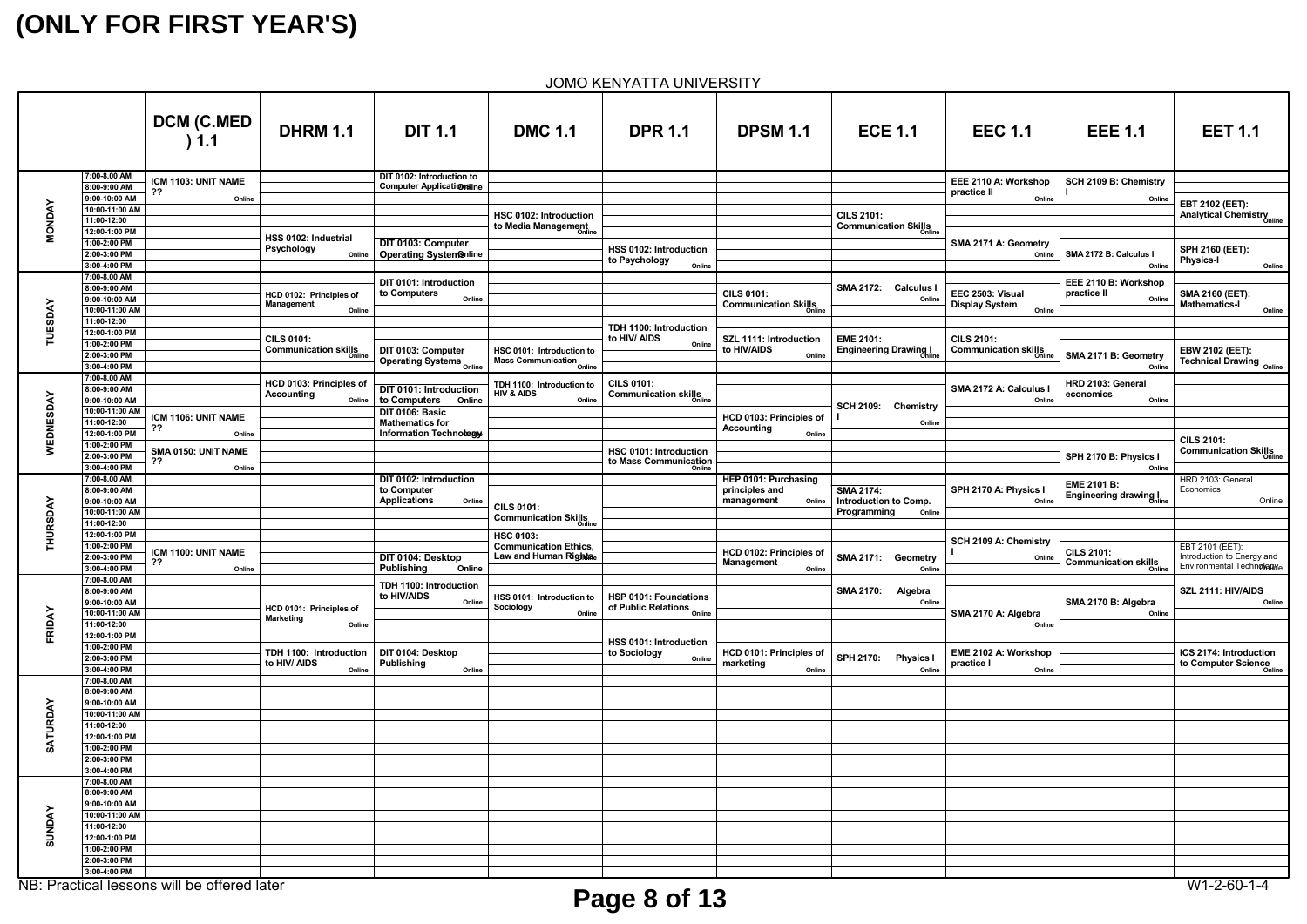JOMO KENYATTA UNIVERSITY

|                |                                 | DCM (C.MED<br>) 1.1                         | <b>DHRM 1.1</b>                                       | <b>DIT 1.1</b>                                               | <b>DMC 1.1</b>                                      | <b>DPR 1.1</b>                               | <b>DPSM 1.1</b>                              | <b>ECE 1.1</b>                                                 | <b>EEC 1.1</b>                                                        | <b>EEE 1.1</b>                                                    | <b>EET 1.1</b>                                          |
|----------------|---------------------------------|---------------------------------------------|-------------------------------------------------------|--------------------------------------------------------------|-----------------------------------------------------|----------------------------------------------|----------------------------------------------|----------------------------------------------------------------|-----------------------------------------------------------------------|-------------------------------------------------------------------|---------------------------------------------------------|
|                | 7:00-8.00 AM<br>8:00-9:00 AM    | ICM 1103: UNIT NAME                         |                                                       | DIT 0102: Introduction to<br><b>Computer Applicationsine</b> |                                                     |                                              |                                              |                                                                | EEE 2110 A: Workshop                                                  | SCH 2109 B: Chemistry                                             |                                                         |
|                | 9:00-10:00 AM<br>10:00-11:00 AM | ??<br>Online                                |                                                       |                                                              |                                                     |                                              |                                              |                                                                | practice II<br>Online                                                 | Online                                                            | EBT 2102 (EET):                                         |
| <b>MONDAY</b>  | 11:00-12:00                     |                                             |                                                       |                                                              | HSC 0102: Introduction<br>to Media Management       |                                              |                                              | <b>CILS 2101:</b><br><b>CILC 21011</b><br>Communication Skills |                                                                       |                                                                   | Analytical Chemistry                                    |
|                | 12:00-1:00 PM<br>1:00-2:00 PM   |                                             | HSS 0102: Industrial                                  | DIT 0103: Computer                                           |                                                     |                                              |                                              |                                                                | SMA 2171 A: Geometry                                                  |                                                                   |                                                         |
|                | 2:00-3:00 PM                    |                                             | Psychology<br>Online                                  | <b>Operating System@nline</b>                                |                                                     | HSS 0102: Introduction<br>to Psychology      |                                              |                                                                | Online                                                                | SMA 2172 B: Calculus I                                            | <b>SPH 2160 (EET):</b><br><b>Physics-I</b>              |
|                | 3:00-4:00 PM<br>7:00-8.00 AM    |                                             |                                                       | DIT 0101: Introduction                                       |                                                     | Online                                       |                                              |                                                                |                                                                       | Online<br>EEE 2110 B: Workshop                                    | Online                                                  |
|                | 8:00-9:00 AM<br>9:00-10:00 AM   |                                             | HCD 0102: Principles of                               | to Computers<br>Online                                       |                                                     |                                              | <b>CILS 0101:</b>                            | <b>SMA 2172:</b><br><b>Calculus I</b><br>Online                | EEC 2503: Visual                                                      | practice II<br>Online                                             | <b>SMA 2160 (EET):</b>                                  |
| <b>TUESDAY</b> | 10:00-11:00 AM                  |                                             | <b>Management</b><br>Online                           |                                                              |                                                     |                                              | <b>Communication Skills</b><br><b>Online</b> |                                                                | <b>Display System</b><br>Online                                       |                                                                   | <b>Mathematics-I</b><br>Online                          |
|                | 11:00-12:00<br>12:00-1:00 PM    |                                             |                                                       |                                                              |                                                     | TDH 1100: Introduction                       |                                              |                                                                |                                                                       |                                                                   |                                                         |
|                | 1:00-2:00 PM                    |                                             | <b>CILS 0101:</b><br>CILU VIV<br>Communication skills | DIT 0103: Computer                                           | HSC 0101: Introduction to                           | to HIV/ AIDS<br>Online                       | SZL 1111: Introduction<br>to HIV/AIDS        | <b>EME 2101:</b><br>Engineering Drawing I                      | <b>CILS 2101:</b><br><b>Communication skills</b><br><sub>Online</sub> |                                                                   | EBW 2102 (EET):                                         |
|                | 2:00-3:00 PM<br>3:00-4:00 PM    |                                             |                                                       | <b>Operating Systems</b> Online                              | <b>Mass Communication</b><br>Online                 |                                              | Online                                       |                                                                |                                                                       | SMA 2171 B: Geometry<br>Online                                    | Technical Drawing <sub>Online</sub>                     |
|                | 7:00-8.00 AM<br>8:00-9:00 AM    |                                             | HCD 0103: Principles of                               | DIT 0101: Introduction                                       | TDH 1100: Introduction to                           | <b>CILS 0101:</b>                            |                                              |                                                                | SMA 2172 A: Calculus I                                                | HRD 2103: General                                                 |                                                         |
|                | 9:00-10:00 AM                   |                                             | <b>Accounting</b><br>Online                           | to Computers Online                                          | <b>HIV &amp; AIDS</b><br>Online                     | <b>Communication skills</b><br><b>Online</b> |                                              | <b>SCH 2109:</b><br><b>Chemistry</b>                           | Online                                                                | economics<br>Online                                               |                                                         |
| WEDNESDAY      | 10:00-11:00 AM<br>11:00-12:00   | ICM 1106: UNIT NAME                         |                                                       | DIT 0106: Basic<br><b>Mathematics for</b>                    |                                                     |                                              | HCD 0103: Principles of                      | Online                                                         |                                                                       |                                                                   |                                                         |
|                | 12:00-1:00 PM                   | ??<br>Online                                |                                                       | <b>Information Technology</b>                                |                                                     |                                              | <b>Accounting</b><br>Online                  |                                                                |                                                                       |                                                                   | <b>CILS 2101:</b>                                       |
|                | 1:00-2:00 PM<br>2:00-3:00 PM    | SMA 0150: UNIT NAME                         |                                                       |                                                              |                                                     | HSC 0101: Introduction                       |                                              |                                                                |                                                                       | SPH 2170 B: Physics I                                             | <b>Communication Skills</b>                             |
|                | 3:00-4:00 PM                    | ??<br>Online                                |                                                       |                                                              |                                                     | to Mass Communication                        |                                              |                                                                |                                                                       | Online                                                            |                                                         |
|                | 7:00-8.00 AM<br>8:00-9:00 AM    |                                             |                                                       | DIT 0102: Introduction<br>to Computer                        |                                                     |                                              | HEP 0101: Purchasing<br>principles and       | <b>SMA 2174:</b>                                               | SPH 2170 A: Physics I                                                 | <b>EME 2101 B:</b>                                                | HRD 2103: General<br>Economics                          |
|                | 9:00-10:00 AM<br>10:00-11:00 AM |                                             |                                                       | <b>Applications</b><br>Online                                | <b>CILS 0101:</b>                                   |                                              | management<br>Online                         | Introduction to Comp.<br>Programming<br>Online                 | Online                                                                | <b>Engineering drawing I</b>                                      | Online                                                  |
|                | 11:00-12:00                     |                                             |                                                       |                                                              | <b>COMMUNICATION Skills</b><br>Communication Skills |                                              |                                              |                                                                |                                                                       |                                                                   |                                                         |
| THURSDAY       | 12:00-1:00 PM<br>1:00-2:00 PM   |                                             |                                                       |                                                              | <b>HSC 0103:</b><br><b>Communication Ethics,</b>    |                                              |                                              |                                                                | SCH 2109 A: Chemistry                                                 |                                                                   | EBT 2101 (EET):                                         |
|                | 2:00-3:00 PM                    | ICM 1100: UNIT NAME<br>??                   |                                                       | DIT 0104: Desktop                                            | Law and Human Rightse                               |                                              | HCD 0102: Principles of<br>Management        | <b>SMA 2171:</b><br>Geometry                                   | Online                                                                | <b>CILS 2101:</b><br><b>Communication skills</b><br><b>Online</b> | Introduction to Energy and<br>Environmental Technologye |
|                | 3:00-4:00 PM<br>7:00-8.00 AM    | Online                                      |                                                       | Publishing<br>Online                                         |                                                     |                                              | Online                                       | Online                                                         |                                                                       |                                                                   |                                                         |
|                | 8:00-9:00 AM                    |                                             |                                                       | TDH 1100: Introduction<br>to HIV/AIDS                        | HSS 0101: Introduction to                           | HSP 0101: Foundations                        |                                              | <b>SMA 2170:</b><br>Algebra                                    |                                                                       |                                                                   | SZL 2111: HIV/AIDS                                      |
|                | 9:00-10:00 AM<br>10:00-11:00 AM |                                             | HCD 0101: Principles of<br><b>Marketing</b>           | Online                                                       | Sociology<br>Online                                 | of Public Relations <sub>Online</sub>        |                                              | Online                                                         | SMA 2170 A: Algebra                                                   | SMA 2170 B: Algebra<br>Online                                     | Online                                                  |
| FRIDAY         | 11:00-12:00<br>12:00-1:00 PM    |                                             | Online                                                |                                                              |                                                     |                                              |                                              |                                                                | Online                                                                |                                                                   |                                                         |
|                | 1:00-2:00 PM                    |                                             | TDH 1100: Introduction                                | DIT 0104: Desktop                                            |                                                     | HSS 0101: Introduction<br>to Sociology       | HCD 0101: Principles of                      |                                                                | EME 2102 A: Workshop                                                  |                                                                   | ICS 2174: Introduction                                  |
|                | 2:00-3:00 PM<br>3:00-4:00 PM    |                                             | to HIV/ AIDS<br>Online                                | Publishing<br>Online                                         |                                                     | Online                                       | marketing<br>Online                          | SPH 2170: Physics I<br>Online                                  | practice I<br>Online                                                  |                                                                   | to Computer Science<br>The Computer Science             |
|                | 7:00-8.00 AM                    |                                             |                                                       |                                                              |                                                     |                                              |                                              |                                                                |                                                                       |                                                                   |                                                         |
|                | 8:00-9:00 AM<br>9:00-10:00 AM   |                                             |                                                       |                                                              |                                                     |                                              |                                              |                                                                |                                                                       |                                                                   |                                                         |
| SATURDAY       | 10:00-11:00 AM<br>11:00-12:00   |                                             |                                                       |                                                              |                                                     |                                              |                                              |                                                                |                                                                       |                                                                   |                                                         |
|                | 12:00-1:00 PM                   |                                             |                                                       |                                                              |                                                     |                                              |                                              |                                                                |                                                                       |                                                                   |                                                         |
|                | 1:00-2:00 PM<br>2:00-3:00 PM    |                                             |                                                       |                                                              |                                                     |                                              |                                              |                                                                |                                                                       |                                                                   |                                                         |
|                | 3:00-4:00 PM                    |                                             |                                                       |                                                              |                                                     |                                              |                                              |                                                                |                                                                       |                                                                   |                                                         |
|                | 7:00-8.00 AM<br>8:00-9:00 AM    |                                             |                                                       |                                                              |                                                     |                                              |                                              |                                                                |                                                                       |                                                                   |                                                         |
|                | 9:00-10:00 AM                   |                                             |                                                       |                                                              |                                                     |                                              |                                              |                                                                |                                                                       |                                                                   |                                                         |
| SUNDAY         | 10:00-11:00 AM<br>11:00-12:00   |                                             |                                                       |                                                              |                                                     |                                              |                                              |                                                                |                                                                       |                                                                   |                                                         |
|                | 12:00-1:00 PM<br>1:00-2:00 PM   |                                             |                                                       |                                                              |                                                     |                                              |                                              |                                                                |                                                                       |                                                                   |                                                         |
|                | 2:00-3:00 PM                    |                                             |                                                       |                                                              |                                                     |                                              |                                              |                                                                |                                                                       |                                                                   |                                                         |
|                | 3:00-4:00 PM                    | NB: Practical lessons will be offered later |                                                       |                                                              |                                                     |                                              |                                              |                                                                |                                                                       |                                                                   | $W1 - 2 - 60 - 1 - 4$                                   |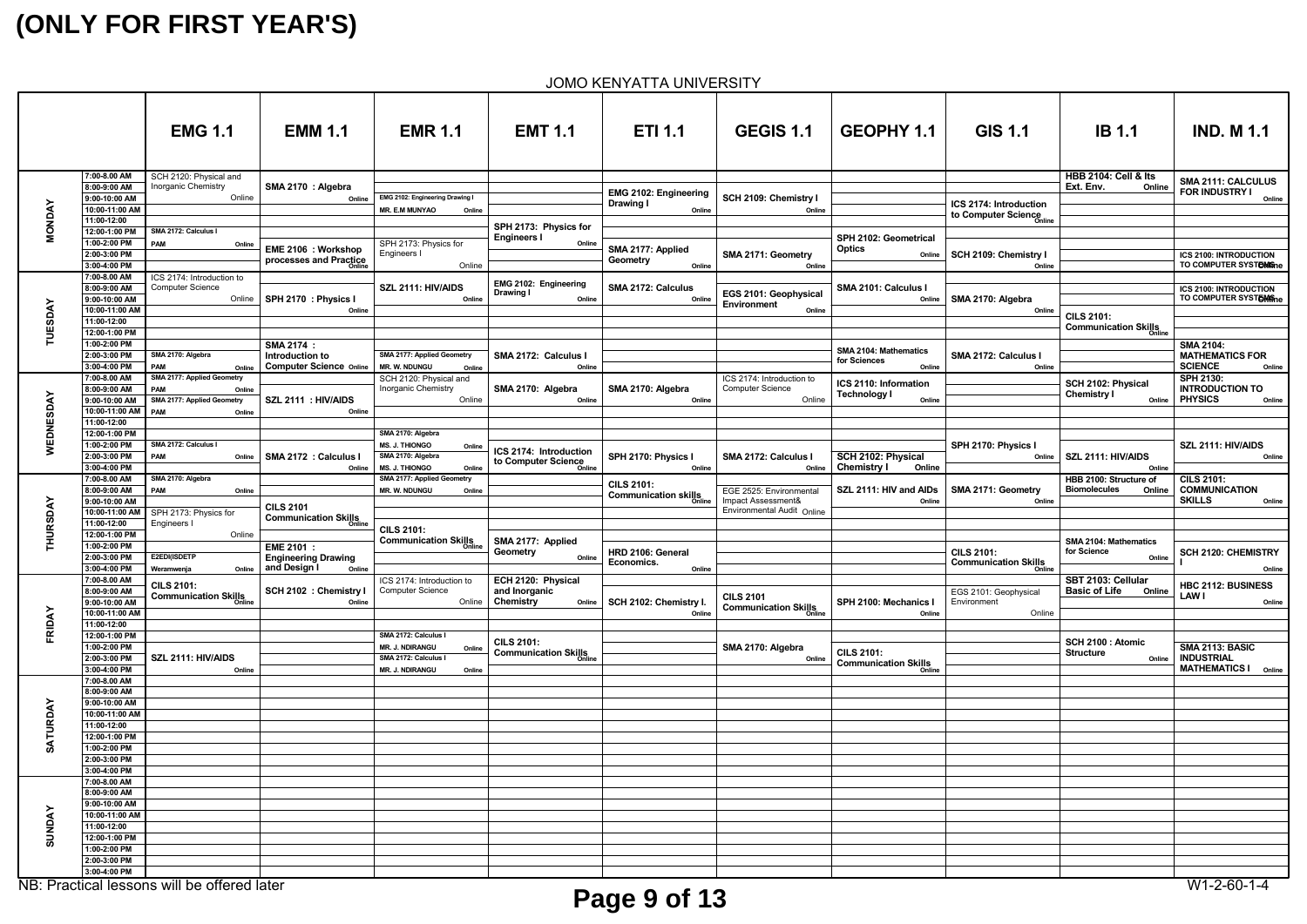JOMO KENYATTA UNIVERSITY

|                |                                                                                 | <b>EMG 1.1</b>                                                                                           | <b>EMM 1.1</b>                                                            | <b>EMR 1.1</b>                                                                                                               | <b>EMT 1.1</b>                                                           | <b>ETI 1.1</b>                                          | <b>GEGIS 1.1</b>                                                                  | <b>GEOPHY 1.1</b>                                      | <b>GIS 1.1</b>                                      | <b>IB 1.1</b>                                                        | <b>IND. M 1.1</b>                                                      |
|----------------|---------------------------------------------------------------------------------|----------------------------------------------------------------------------------------------------------|---------------------------------------------------------------------------|------------------------------------------------------------------------------------------------------------------------------|--------------------------------------------------------------------------|---------------------------------------------------------|-----------------------------------------------------------------------------------|--------------------------------------------------------|-----------------------------------------------------|----------------------------------------------------------------------|------------------------------------------------------------------------|
|                | 7:00-8.00 AM<br>8:00-9:00 AM<br>9:00-10:00 AM<br>10:00-11:00 AM                 | SCH 2120: Physical and<br>Inorganic Chemistry<br>Online                                                  | SMA 2170 : Algebra<br>Online                                              | EMG 2102: Engineering Drawing I<br><b>MR. E.M MUNYAO</b><br>Online                                                           |                                                                          | <b>EMG 2102: Engineering</b><br>Drawing I<br>Online     | SCH 2109: Chemistry I<br>Online                                                   |                                                        | ICS 2174: Introduction<br>to Computer Science       | <b>HBB 2104: Cell &amp; Its</b><br>Ext. Env.<br>Online               | SMA 2111: CALCULUS<br>FOR INDUSTRY I<br>Online                         |
| <b>MONDAY</b>  | 11:00-12:00<br>12:00-1:00 PM<br>1:00-2:00 PM<br>2:00-3:00 PM<br>3:00-4:00 PM    | SMA 2172: Calculus I<br>PAM<br>Online                                                                    | EME 2106 : Workshop<br>processes and Practice                             | SPH 2173: Physics for<br>Engineers I<br>Online                                                                               | SPH 2173: Physics for<br><b>Engineers I</b><br>Online                    | SMA 2177: Applied<br>Geometry<br>Online                 | SMA 2171: Geometry<br>Online                                                      | SPH 2102: Geometrical<br><b>Optics</b><br>Online       | SCH 2109: Chemistry I<br>Online                     |                                                                      | <b>ICS 2100: INTRODUCTION</b><br>TO COMPUTER SYSTOMSne                 |
| <b>TUESDAY</b> | 7:00-8.00 AM<br>8:00-9:00 AM<br>9:00-10:00 AM<br>10:00-11:00 AM<br>11:00-12:00  | ICS 2174: Introduction to<br><b>Computer Science</b><br>Online                                           | SPH 2170 : Physics I<br>Online                                            | SZL 2111: HIV/AIDS<br>Online                                                                                                 | EMG 2102: Engineering<br>Drawing I<br>Online                             | SMA 2172: Calculus<br>Online                            | EGS 2101: Geophysical<br><b>Environment</b><br>Online                             | SMA 2101: Calculus I<br>Online                         | SMA 2170: Algebra<br>Online                         | <b>CILS 2101:</b>                                                    | <b>ICS 2100: INTRODUCTION</b><br>TO COMPUTER SYSTOMSne                 |
|                | 12:00-1:00 PM<br>1:00-2:00 PM<br>2:00-3:00 PM<br>3:00-4:00 PM                   | SMA 2170: Algebra<br><b>PAM</b><br>Online                                                                | <b>SMA 2174 :</b><br>Introduction to<br><b>Computer Science Online</b>    | SMA 2177: Applied Geometry<br><b>MR. W. NDUNGU</b><br>Online                                                                 | SMA 2172: Calculus I<br>Online                                           |                                                         |                                                                                   | SMA 2104: Mathematics<br>for Sciences<br>Online        | SMA 2172: Calculus I<br>Online                      | Communication Skills                                                 | <b>SMA 2104:</b><br><b>MATHEMATICS FOR</b><br><b>SCIENCE</b><br>Online |
| WEDNESDAY      | 7:00-8.00 AM<br>8:00-9:00 AM<br>9:00-10:00 AM<br>10:00-11:00 AM<br>11:00-12:00  | SMA 2177: Applied Geometry<br><b>PAM</b><br>Online<br>SMA 2177: Applied Geometry<br><b>PAM</b><br>Online | SZL 2111 : HIV/AIDS<br>Online                                             | SCH 2120: Physical and<br>Inorganic Chemistry<br>Online                                                                      | SMA 2170: Algebra<br>Online                                              | SMA 2170: Algebra<br>Online                             | ICS 2174: Introduction to<br><b>Computer Science</b><br>Online                    | ICS 2110: Information<br><b>Technology I</b><br>Online |                                                     | SCH 2102: Physical<br><b>Chemistry I</b><br>Online                   | <b>SPH 2130:</b><br><b>INTRODUCTION TO</b><br><b>PHYSICS</b><br>Online |
|                | 12:00-1:00 PM<br>1:00-2:00 PM<br>2:00-3:00 PM<br>3:00-4:00 PM<br>7:00-8.00 AM   | SMA 2172: Calculus I<br><b>PAM</b><br>Online<br>SMA 2170: Algebra                                        | SMA 2172 : Calculus I<br>Online                                           | SMA 2170: Algebra<br>MS. J. THIONGO<br>Online<br>SMA 2170: Algebra<br>MS. J. THIONGO<br>Online<br>SMA 2177: Applied Geometry | ICS 2174: Introduction<br>to Computer Science<br><sub>Online</sub>       | SPH 2170: Physics I<br>Online                           | SMA 2172: Calculus I<br>Online                                                    | SCH 2102: Physical<br>Online<br><b>Chemistry I</b>     | SPH 2170: Physics I<br>Online                       | SZL 2111: HIV/AIDS<br>Online<br>HBB 2100: Structure of               | SZL 2111: HIV/AIDS<br>Online<br><b>CILS 2101:</b>                      |
| THURSDAY       | 8:00-9:00 AM<br>9:00-10:00 AM<br>10:00-11:00 AM<br>11:00-12:00                  | <b>PAM</b><br>Online<br>SPH 2173: Physics for<br>Engineers I                                             | <b>CILS 2101</b><br>Communication Skills                                  | <b>MR. W. NDUNGU</b><br>Online<br><b>CILS 2101:</b>                                                                          |                                                                          | <b>CILS 2101:</b><br>$CnC = 18$<br>Communication skills | EGE 2525: Environmental<br>Impact Assessment&<br>Environmental Audit Online       | SZL 2111: HIV and AIDs<br>Online                       | SMA 2171: Geometry<br>Online                        | <b>Biomolecules</b><br>Online                                        | <b>COMMUNICATION</b><br><b>SKILLS</b><br>Online                        |
|                | 12:00-1:00 PM<br>1:00-2:00 PM<br>2:00-3:00 PM<br>3:00-4:00 PM<br>7:00-8.00 AM   | Online<br>E2EDI(ISDETP<br>Weramwenja<br>Online                                                           | <b>EME 2101 :</b><br><b>Engineering Drawing</b><br>and Design I<br>Online | <b>Communication Skills</b><br><sub>Online</sub><br>ICS 2174: Introduction to                                                | SMA 2177: Applied<br>Geometry<br>Online                                  | HRD 2106: General<br>Economics.<br>Online               |                                                                                   |                                                        | <b>CILS 2101:</b><br>CILO 2<br>Communication Skills | SMA 2104: Mathematics<br>for Science<br>Online<br>SBT 2103: Cellular | SCH 2120: CHEMISTRY<br>Online                                          |
| FRIDAY         | 8:00-9:00 AM<br>9:00-10:00 AM<br>10:00-11:00 AM<br>11:00-12:00                  | <b>CILS 2101:</b><br><b>CILU 2.10.1</b><br>Communication Skills                                          | SCH 2102 : Chemistry I<br>Online                                          | <b>Computer Science</b>                                                                                                      | ECH 2120: Physical<br>and Inorganic<br>Online   Chemistry<br>Online      | SCH 2102: Chemistry I.<br>Online                        | <b>CILS 2101</b><br><b>CILU 2101</b><br>Communication Skills<br><sup>Online</sup> | SPH 2100: Mechanics I<br>Online                        | EGS 2101: Geophysical<br>Environment<br>Online      | <b>Basic of Life Online</b>                                          | HBC 2112: BUSINESS<br><b>LAWI</b><br>Online                            |
|                | 12:00-1:00 PM<br>1:00-2:00 PM<br>2:00-3:00 PM<br>3:00-4:00 PM<br>7:00-8.00 AM   | SZL 2111: HIV/AIDS<br>Online                                                                             |                                                                           | SMA 2172: Calculus I<br><b>MR. J. NDIRANGU</b><br>Online<br>SMA 2172: Calculus I<br><b>MR. J. NDIRANGU</b><br>Online         | <b>CILS 2101:</b><br><b>COMMUNICATION Skills</b><br>Communication Skills |                                                         | SMA 2170: Algebra<br>Online                                                       | <b>CILS 2101:</b><br><b>COMMUNICATION Skills</b>       |                                                     | SCH 2100 : Atomic<br><b>Structure</b><br>Online                      | <b>SMA 2113: BASIC</b><br><b>INDUSTRIAL</b><br>MATHEMATICS I Online    |
|                | 8:00-9:00 AM<br>9:00-10:00 AM<br>10:00-11:00 AM<br>11:00-12:00                  |                                                                                                          |                                                                           |                                                                                                                              |                                                                          |                                                         |                                                                                   |                                                        |                                                     |                                                                      |                                                                        |
| SATURDAY       | 12:00-1:00 PM<br>1:00-2:00 PM<br>2:00-3:00 PM<br>3:00-4:00 PM<br>7:00-8.00 AM   |                                                                                                          |                                                                           |                                                                                                                              |                                                                          |                                                         |                                                                                   |                                                        |                                                     |                                                                      |                                                                        |
| SUNDAY         | 8:00-9:00 AM<br>9:00-10:00 AM<br>10:00-11:00 AM<br>11:00-12:00<br>12:00-1:00 PM |                                                                                                          |                                                                           |                                                                                                                              |                                                                          |                                                         |                                                                                   |                                                        |                                                     |                                                                      |                                                                        |
|                | 1:00-2:00 PM<br>2:00-3:00 PM<br>3:00-4:00 PM                                    | NB: Practical lessons will be offered later                                                              |                                                                           |                                                                                                                              |                                                                          | $\sim$ $\sim$ $\sim$ $\sim$ $\sim$ $\sim$               |                                                                                   |                                                        |                                                     |                                                                      | $W1 - 2 - 60 - 1 - 4$                                                  |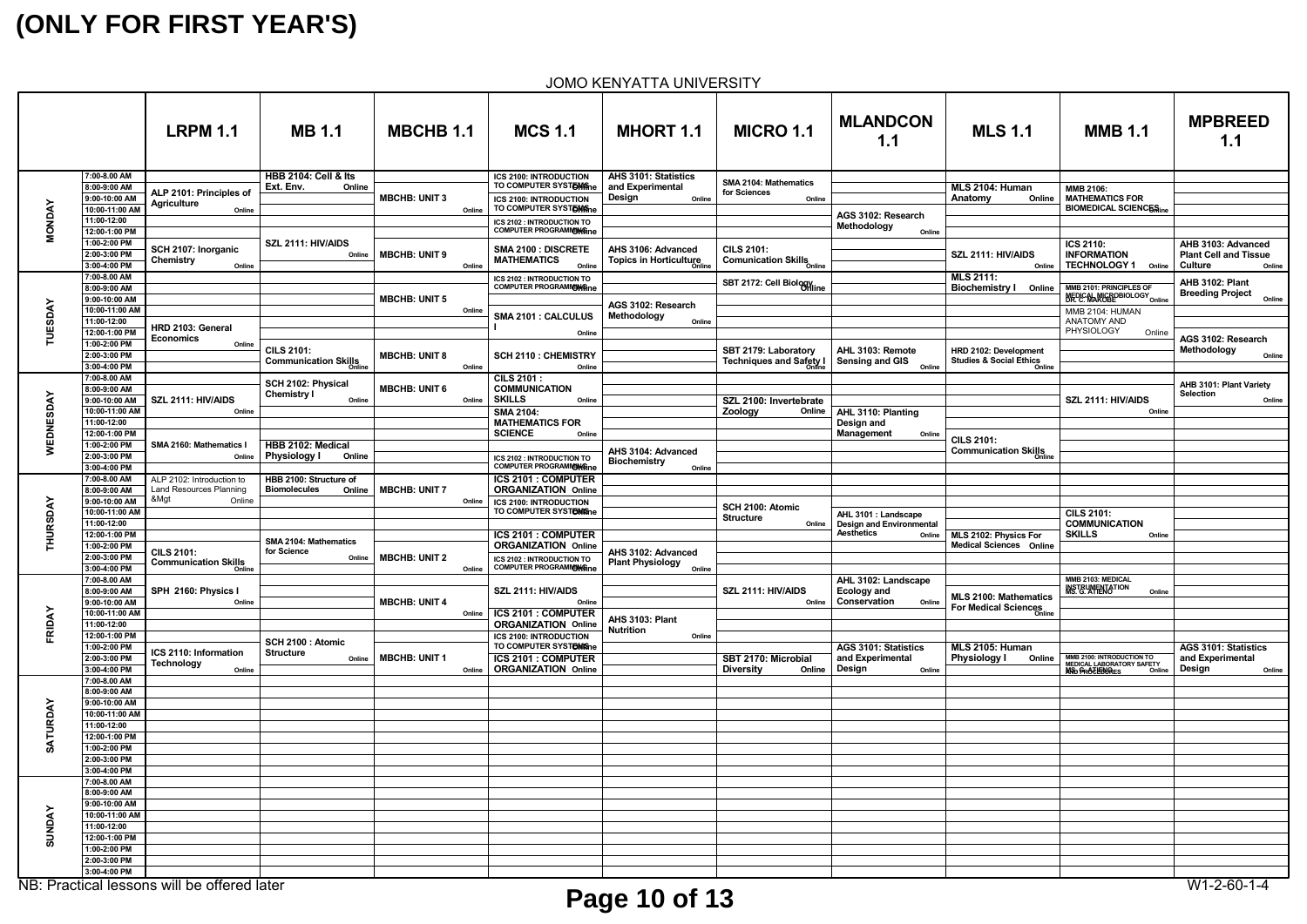NB: Practical lessons will be offered later W1-2-60-1-4

|               |                                                                 | <b>LRPM 1.1</b>                                                       | <b>MB 1.1</b>                                                                            | <b>MBCHB 1.1</b>               | <b>MCS 1.1</b>                                                                                                           | <b>MHORT 1.1</b>                                                    | <b>MICRO 1.1</b>                                                                   | <b>MLANDCON</b><br>1.1                                              | <b>MLS 1.1</b>                                             |
|---------------|-----------------------------------------------------------------|-----------------------------------------------------------------------|------------------------------------------------------------------------------------------|--------------------------------|--------------------------------------------------------------------------------------------------------------------------|---------------------------------------------------------------------|------------------------------------------------------------------------------------|---------------------------------------------------------------------|------------------------------------------------------------|
|               | 7:00-8.00 AM<br>8:00-9:00 AM<br>9:00-10:00 AM<br>10:00-11:00 AM | ALP 2101: Principles of<br><b>Agriculture</b><br>Online               | <b>HBB 2104: Cell &amp; Its</b><br>Ext. Env.<br>Online                                   | <b>MBCHB: UNIT 3</b><br>Online | <b>ICS 2100: INTRODUCTION</b><br>TO COMPUTER SYSTOMEne<br><b>ICS 2100: INTRODUCTION</b><br>TO COMPUTER SYSTOMEne         | AHS 3101: Statistics<br>and Experimental<br><b>Design</b><br>Online | <b>SMA 2104: Mathematics</b><br>for Sciences<br>Online                             | AGS 3102: Research                                                  | MLS 2104: Human<br>Anatomy<br>On                           |
| <b>MONDAY</b> | 11:00-12:00<br>12:00-1:00 PM<br>1:00-2:00 PM<br>2:00-3:00 PM    | SCH 2107: Inorganic                                                   | SZL 2111: HIV/AIDS<br>Online                                                             | <b>MBCHB: UNIT 9</b>           | ICS 2102 : INTRODUCTION TO<br><b>COMPUTER PROGRAMMINGING</b><br>SMA 2100 : DISCRETE                                      | AHS 3106: Advanced                                                  | <b>CILS 2101:</b>                                                                  | Methodology<br>Online                                               | SZL 2111: HIV/AIDS                                         |
|               | 3:00-4:00 PM<br>7:00-8.00 AM<br>8:00-9:00 AM                    | <b>Chemistry</b><br>Online                                            |                                                                                          | Online                         | <b>MATHEMATICS</b><br>Online<br>ICS 2102 : INTRODUCTION TO<br><b>COMPUTER PROGRAMMINGING</b>                             | Topics in Horticulture                                              | <b>Comunication Skills</b><br><b>Comunication Skills</b><br>SBT 2172: Cell Biology |                                                                     | $\circ$<br><b>MLS 2111:</b><br><b>Biochemistry I</b><br>On |
| TUESDAY       | 9:00-10:00 AM<br>10:00-11:00 AM<br>11:00-12:00                  | HRD 2103: General                                                     |                                                                                          | <b>MBCHB: UNIT 5</b><br>Online | SMA 2101 : CALCULUS                                                                                                      | AGS 3102: Research<br>Methodology<br>Online                         |                                                                                    |                                                                     |                                                            |
|               | 12:00-1:00 PM<br>1:00-2:00 PM<br>2:00-3:00 PM<br>3:00-4:00 PM   | <b>Economics</b><br>Online                                            | <b>CILS 2101:</b><br>CILO 2 iv<br>Communication Skills                                   | <b>MBCHB: UNIT 8</b><br>Online | Online<br><b>SCH 2110: CHEMISTRY</b><br>Online                                                                           |                                                                     | SBT 2179: Laboratory<br><b>Techniques and Safety I</b>                             | AHL 3103: Remote<br><b>Sensing and GIS</b><br>Online                | HRD 2102: Developmen<br>Studies & Social Ethics            |
|               | 7:00-8.00 AM<br>8:00-9:00 AM<br>9:00-10:00 AM<br>10:00-11:00 AM | SZL 2111: HIV/AIDS<br>Online                                          | SCH 2102: Physical<br><b>Chemistry I</b><br>Online                                       | <b>MBCHB: UNIT 6</b><br>Online | <b>CILS 2101:</b><br><b>COMMUNICATION</b><br><b>SKILLS</b><br>Online<br><b>SMA 2104:</b>                                 |                                                                     | SZL 2100: Invertebrate<br>Zoology<br>Online                                        | AHL 3110: Planting                                                  |                                                            |
| WEDNESDAY     | 11:00-12:00<br>12:00-1:00 PM<br>1:00-2:00 PM                    | SMA 2160: Mathematics                                                 | HBB 2102: Medical                                                                        |                                | <b>MATHEMATICS FOR</b><br><b>SCIENCE</b><br>Online                                                                       | AHS 3104: Advanced                                                  |                                                                                    | Design and<br>Management<br>Online                                  | <b>CILS 2101:</b>                                          |
|               | 2:00-3:00 PM<br>3:00-4:00 PM<br>7:00-8.00 AM<br>8:00-9:00 AM    | Online<br>ALP 2102: Introduction to<br><b>Land Resources Planning</b> | <b>Physiology I</b><br>Online<br>HBB 2100: Structure of<br><b>Biomolecules</b><br>Online | <b>MBCHB: UNIT 7</b>           | ICS 2102 : INTRODUCTION TO<br><b>COMPUTER PROGRAMMINGING</b><br><b>ICS 2101 : COMPUTER</b><br><b>ORGANIZATION Online</b> | <b>Biochemistry</b><br>Online                                       |                                                                                    |                                                                     | <b>Communication Skill</b>                                 |
| THURSDAY      | 9:00-10:00 AM<br>10:00-11:00 AM<br>11:00-12:00                  | &Mgt<br>Online                                                        |                                                                                          | Online                         | <b>ICS 2100: INTRODUCTION</b><br>TO COMPUTER SYSTOMEne                                                                   |                                                                     | SCH 2100: Atomic<br><b>Structure</b><br>Online                                     | AHL 3101 : Landscape<br><b>Design and Environmental</b>             |                                                            |
|               | 12:00-1:00 PM<br>1:00-2:00 PM<br>2:00-3:00 PM                   | <b>CILS 2101:</b><br><b>Communication Skills</b>                      | SMA 2104: Mathematics<br>for Science<br>Online                                           | <b>MBCHB: UNIT 2</b>           | ICS 2101 : COMPUTER<br><b>ORGANIZATION Online</b><br>ICS 2102 : INTRODUCTION TO<br>COMPUTER PROGRAMMINGING               | AHS 3102: Advanced<br><b>Plant Physiology</b>                       |                                                                                    | <b>Aesthetics</b><br>Online                                         | MLS 2102: Physics For<br><b>Medical Sciences</b> On        |
|               | 3:00-4:00 PM<br>7:00-8.00 AM<br>8:00-9:00 AM<br>9:00-10:00 AM   | SPH 2160: Physics I<br>Online                                         |                                                                                          | Online<br><b>MBCHB: UNIT 4</b> | SZL 2111: HIV/AIDS<br>Online                                                                                             | Online                                                              | SZL 2111: HIV/AIDS<br>Online                                                       | AHL 3102: Landscape<br><b>Ecology and</b><br>Conservation<br>Online | MLS 2100: Mathemat                                         |
| FRIDAY        | 10:00-11:00 AM<br>11:00-12:00<br>12:00-1:00 PM                  |                                                                       | SCH 2100 : Atomic                                                                        | Online                         | ICS 2101 : COMPUTER<br><b>ORGANIZATION Online</b><br><b>ICS 2100: INTRODUCTION</b>                                       | <b>AHS 3103: Plant</b><br><b>Nutrition</b><br>Online                |                                                                                    |                                                                     | For Medical Sciences                                       |
|               | 1:00-2:00 PM<br>2:00-3:00 PM<br>3:00-4:00 PM                    | ICS 2110: Information<br><b>Technology</b><br>Online                  | <b>Structure</b><br>Online                                                               | <b>MBCHB: UNIT 1</b><br>Online | TO COMPUTER SYSTOMEne<br><b>ICS 2101 : COMPUTER</b><br><b>ORGANIZATION Online</b>                                        |                                                                     | <b>SBT 2170: Microbial</b><br><b>Diversity</b><br>Online                           | AGS 3101: Statistics<br>and Experimental<br>Design<br>Online        | MLS 2105: Human<br><b>Physiology I</b><br>On               |
|               | 7:00-8.00 AM<br>8:00-9:00 AM<br>9:00-10:00 AM<br>10:00-11:00 AM |                                                                       |                                                                                          |                                |                                                                                                                          |                                                                     |                                                                                    |                                                                     |                                                            |
| SATURDAY      | 11:00-12:00<br>12:00-1:00 PM<br>1:00-2:00 PM                    |                                                                       |                                                                                          |                                |                                                                                                                          |                                                                     |                                                                                    |                                                                     |                                                            |
|               | 2:00-3:00 PM<br>3:00-4:00 PM<br>7:00-8.00 AM<br>8:00-9:00 AM    |                                                                       |                                                                                          |                                |                                                                                                                          |                                                                     |                                                                                    |                                                                     |                                                            |
| <b>SUNDAY</b> | 9:00-10:00 AM<br>10:00-11:00 AM<br>11:00-12:00                  |                                                                       |                                                                                          |                                |                                                                                                                          |                                                                     |                                                                                    |                                                                     |                                                            |
|               | 12:00-1:00 PM<br>1:00-2:00 PM<br>2:00-3:00 PM<br>3:00-4:00 PM   |                                                                       |                                                                                          |                                |                                                                                                                          |                                                                     |                                                                                    |                                                                     |                                                            |

| <b>NDCON</b><br>1.1                   | <b>MLS 1.1</b>                                                        | <b>MMB 1.1</b>                                                                            | <b>MPBREED</b><br>1.1                                                          |
|---------------------------------------|-----------------------------------------------------------------------|-------------------------------------------------------------------------------------------|--------------------------------------------------------------------------------|
| : Research<br>ogy                     | MLS 2104: Human<br>Anatomy<br>Online                                  | <b>MMB 2106:</b><br><b>MATHEMATICS FOR</b><br><b>BIOMEDICAL SCIENCERine</b>               |                                                                                |
| Online                                | SZL 2111: HIV/AIDS<br>Online                                          | ICS 2110:<br><b>INFORMATION</b><br><b>TECHNOLOGY 1</b><br>Online                          | AHB 3103: Advanced<br><b>Plant Cell and Tissue</b><br><b>Culture</b><br>Online |
|                                       | <b>MLS 2111:</b><br><b>Biochemistry I</b><br>Online                   | MMB 2101: PRINCIPLES OF<br>MEDICAL MICROBIOLOGY<br>DR. C. MAROBE<br>MMB 2104: HUMAN       | AHB 3102: Plant<br><b>Breeding Project</b><br>Online                           |
| : Remote<br>งnd GIS                   | HRD 2102: Development<br><b>Studies &amp; Social Ethics</b>           | <b>ANATOMY AND</b><br><b>PHYSIOLOGY</b><br>Online                                         | AGS 3102: Research<br>Methodology<br>Online                                    |
| Online                                | Online                                                                | SZL 2111: HIV/AIDS                                                                        | AHB 3101: Plant Variety<br><b>Selection</b><br>Online                          |
| : Planting<br>١d<br>ıent<br>Online    | <b>CILS 2101:</b><br><b>Communication Skills</b><br>Online            | Online                                                                                    |                                                                                |
| : Landscape                           |                                                                       | <b>CILS 2101:</b>                                                                         |                                                                                |
| d Environmental<br>Online             | MLS 2102: Physics For<br><b>Medical Sciences Online</b>               | <b>COMMUNICATION</b><br><b>SKILLS</b><br>Online                                           |                                                                                |
| : Landscape<br>and<br>ıtion<br>Online | <b>MLS 2100: Mathematics</b><br><b>For Medical Sciences</b><br>Online | MMB 2103: MEDICAL<br>INSTRUMENTATION<br>Online                                            |                                                                                |
| : Statistics<br>rimental<br>Online    | MLS 2105: Human<br><b>Physiology I</b><br>Online                      | MMB 2100: INTRODUCTION TO<br><b>MEDICAL LABORATORY SAFETY</b><br>MAD PRATENTRES<br>Online | <b>AGS 3101: Statistics</b><br>and Experimental<br>Design<br>Online            |
|                                       |                                                                       |                                                                                           |                                                                                |
|                                       |                                                                       |                                                                                           |                                                                                |
|                                       |                                                                       |                                                                                           |                                                                                |
|                                       |                                                                       |                                                                                           |                                                                                |
|                                       |                                                                       |                                                                                           | $10/4$ $20/4$ $4$                                                              |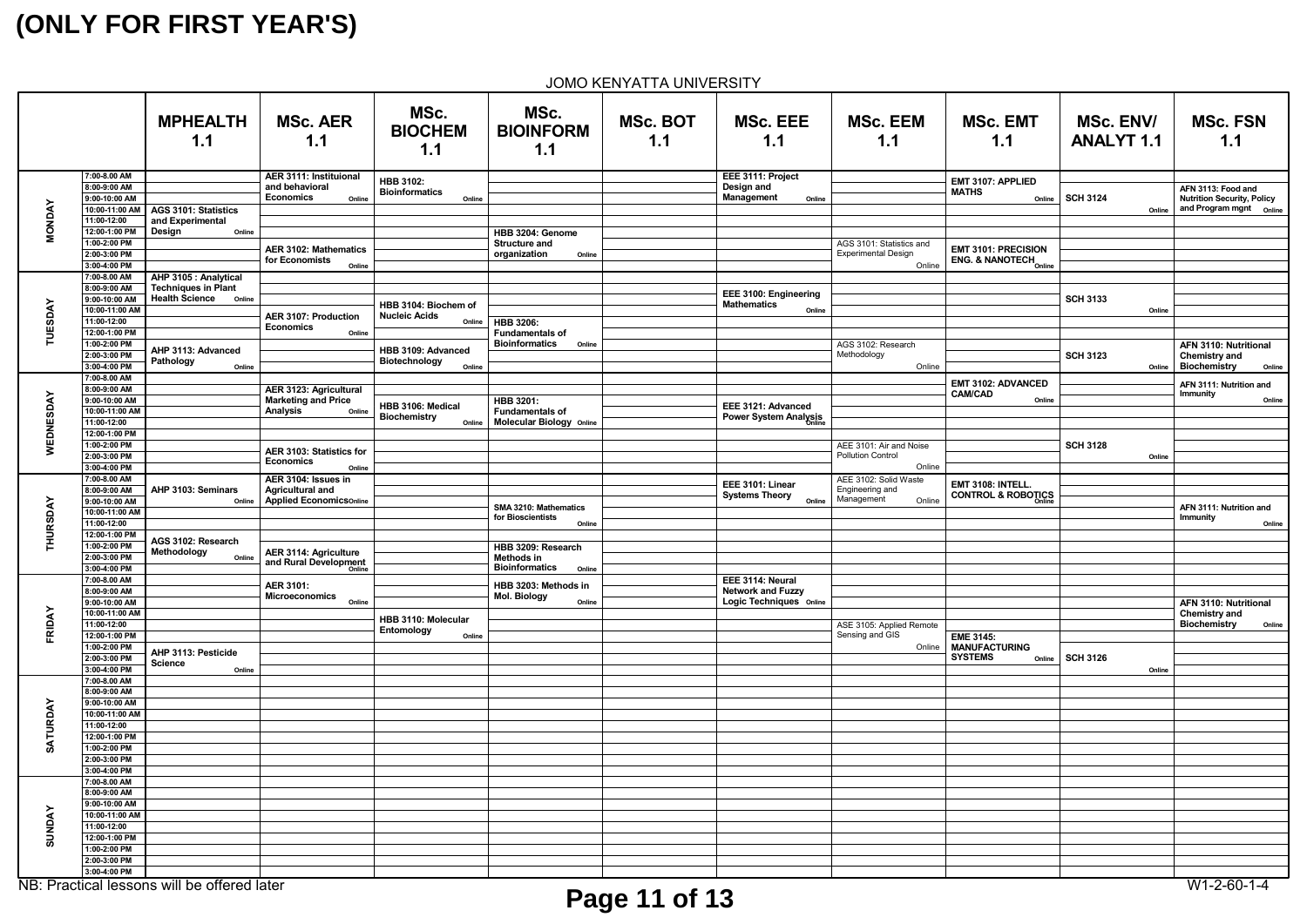|                |                                                |                                                               | <b>JOMO KENYATTA UNIVERSITY</b>                                                  |                                                        |                                                                        |                        |                                                                         |                                                                  |                                          |
|----------------|------------------------------------------------|---------------------------------------------------------------|----------------------------------------------------------------------------------|--------------------------------------------------------|------------------------------------------------------------------------|------------------------|-------------------------------------------------------------------------|------------------------------------------------------------------|------------------------------------------|
|                |                                                | <b>MPHEALTH</b><br>1.1                                        | <b>MSc. AER</b><br>1.1                                                           | MSc.<br><b>BIOCHEM</b><br>1.1                          | MSc.<br><b>BIOINFORM</b><br>1.1                                        | <b>MSc. BOT</b><br>1.1 | <b>MSc. EEE</b><br>1.1                                                  | <b>MSc. EEM</b><br>1.1                                           | <b>MSc</b>                               |
|                | 7:00-8.00 AM<br>8:00-9:00 AM                   |                                                               | <b>AER 3111: Instituional</b><br>and behavioral                                  | <b>HBB 3102:</b>                                       |                                                                        |                        | EEE 3111: Project<br>Design and                                         |                                                                  | <b>EMT 3107:</b>                         |
| <b>MONDAY</b>  | 9:00-10:00 AM<br>10:00-11:00 AM                | AGS 3101: Statistics                                          | <b>Economics</b><br>Online                                                       | <b>Bioinformatics</b><br>Online                        |                                                                        |                        | <b>Management</b><br>Online                                             |                                                                  | <b>MATHS</b>                             |
|                | 11:00-12:00<br>12:00-1:00 PM                   | and Experimental<br>Design<br>Online                          |                                                                                  |                                                        | HBB 3204: Genome                                                       |                        |                                                                         |                                                                  |                                          |
|                | 1:00-2:00 PM<br>2:00-3:00 PM                   |                                                               | <b>AER 3102: Mathematics</b><br>for Economists                                   |                                                        | <b>Structure and</b><br>organization<br>Online                         |                        |                                                                         | AGS 3101: Statistics and<br><b>Experimental Design</b>           | <b>EMT 3101:</b><br><b>ENG. &amp; NA</b> |
|                | 3:00-4:00 PM<br>7:00-8.00 AM                   | AHP 3105 : Analytical                                         | Online                                                                           |                                                        |                                                                        |                        |                                                                         | Online                                                           |                                          |
| <b>TUESDAY</b> | 8:00-9:00 AM<br>9:00-10:00 AM                  | <b>Techniques in Plant</b><br><b>Health Science</b><br>Online |                                                                                  |                                                        |                                                                        |                        | EEE 3100: Engineering                                                   |                                                                  |                                          |
|                | 10:00-11:00 AM<br>11:00-12:00                  |                                                               | <b>AER 3107: Production</b><br><b>Economics</b>                                  | HBB 3104: Biochem of<br><b>Nucleic Acids</b><br>Online | HBB 3206:                                                              |                        | <b>Mathematics</b><br>Online                                            |                                                                  |                                          |
|                | 12:00-1:00 PM                                  |                                                               | Online                                                                           |                                                        | <b>Fundamentals of</b>                                                 |                        |                                                                         |                                                                  |                                          |
|                | 1:00-2:00 PM<br>2:00-3:00 PM<br>3:00-4:00 PM   | AHP 3113: Advanced<br>Pathology<br>Online                     |                                                                                  | HBB 3109: Advanced<br>Biotechnology                    | <b>Bioinformatics</b><br>Online                                        |                        |                                                                         | AGS 3102: Research<br>Methodology<br>Online                      |                                          |
|                | 7:00-8.00 AM                                   |                                                               |                                                                                  | Online                                                 |                                                                        |                        |                                                                         |                                                                  |                                          |
|                | 8:00-9:00 AM                                   |                                                               | AER 3123: Agricultural                                                           |                                                        |                                                                        |                        |                                                                         |                                                                  | <b>EMT 3102:</b><br><b>CAM/CAD</b>       |
| WEDNESDAY      | 9:00-10:00 AM<br>10:00-11:00 AM<br>11:00-12:00 |                                                               | <b>Marketing and Price</b><br><b>Analysis</b><br>Online                          | HBB 3106: Medical<br><b>Biochemistry</b>               | HBB 3201:<br><b>Fundamentals of</b><br><b>Molecular Biology Online</b> |                        | EEE 3121: Advanced<br><b>Power System Analysis</b>                      |                                                                  |                                          |
|                | 12:00-1:00 PM                                  |                                                               |                                                                                  | Online                                                 |                                                                        |                        |                                                                         |                                                                  |                                          |
|                | 1:00-2:00 PM<br>2:00-3:00 PM                   |                                                               | AER 3103: Statistics for                                                         |                                                        |                                                                        |                        |                                                                         | AEE 3101: Air and Noise<br><b>Pollution Control</b>              |                                          |
|                | 3:00-4:00 PM                                   |                                                               | <b>Economics</b><br>Online                                                       |                                                        |                                                                        |                        |                                                                         | Online                                                           |                                          |
|                | 7:00-8.00 AM<br>8:00-9:00 AM<br>9:00-10:00 AM  | AHP 3103: Seminars                                            | AER 3104: Issues in<br><b>Agricultural and</b><br><b>Applied Economicsonline</b> |                                                        |                                                                        |                        | EEE 3101: Linear<br><b>Systems Theory</b><br>Online                     | AEE 3102: Solid Waste<br>Engineering and<br>Management<br>Online | <b>EMT 3108:</b><br><b>CONTROL</b>       |
| THURSDAY       | 10:00-11:00 AM                                 | Online                                                        |                                                                                  |                                                        | SMA 3210: Mathematics<br>for Bioscientists                             |                        |                                                                         |                                                                  |                                          |
|                | 11:00-12:00<br>12:00-1:00 PM                   |                                                               |                                                                                  |                                                        | Online                                                                 |                        |                                                                         |                                                                  |                                          |
|                | 1:00-2:00 PM<br>2:00-3:00 PM                   | AGS 3102: Research<br>Methodology<br>Online                   | AER 3114: Agriculture                                                            |                                                        | HBB 3209: Research<br><b>Methods in</b>                                |                        |                                                                         |                                                                  |                                          |
|                | $3:00-4:00$ PM                                 |                                                               | and Rural Development<br>Online                                                  |                                                        | <b>Bioinformatics</b><br>Online                                        |                        |                                                                         |                                                                  |                                          |
|                | 7:00-8.00 AM<br>8:00-9:00 AM                   |                                                               | <b>AER 3101:</b><br><b>Microeconomics</b>                                        |                                                        | HBB 3203: Methods in<br><b>Mol. Biology</b>                            |                        | EEE 3114: Neural<br><b>Network and Fuzzy</b><br>Logic Techniques Online |                                                                  |                                          |
|                | 9:00-10:00 AM<br>10:00-11:00 AM                |                                                               | Online                                                                           |                                                        | Online                                                                 |                        |                                                                         |                                                                  |                                          |
| FRIDAY         | 11:00-12:00<br>12:00-1:00 PM                   |                                                               |                                                                                  | HBB 3110: Molecular<br>Entomology<br>Online            |                                                                        |                        |                                                                         | ASE 3105: Applied Remote<br>Sensing and GIS                      | <b>EME 3145:</b>                         |
|                | 1:00-2:00 PM<br>2:00-3:00 PM                   | AHP 3113: Pesticide<br><b>Science</b>                         |                                                                                  |                                                        |                                                                        |                        |                                                                         | Online                                                           | <b>MANUFAC</b><br><b>SYSTEMS</b>         |
|                | 3:00-4:00 PM<br>7:00-8.00 AM                   | Online                                                        |                                                                                  |                                                        |                                                                        |                        |                                                                         |                                                                  |                                          |
|                | 8:00-9:00 AM                                   |                                                               |                                                                                  |                                                        |                                                                        |                        |                                                                         |                                                                  |                                          |
| SATURDAY       | $9:00-10:00$ AM<br>10:00-11:00 AM              |                                                               |                                                                                  |                                                        |                                                                        |                        |                                                                         |                                                                  |                                          |
|                | 11:00-12:00                                    |                                                               |                                                                                  |                                                        |                                                                        |                        |                                                                         |                                                                  |                                          |
|                | 12:00-1:00 PM                                  |                                                               |                                                                                  |                                                        |                                                                        |                        |                                                                         |                                                                  |                                          |
|                | 1:00-2:00 PM<br>2:00-3:00 PM                   |                                                               |                                                                                  |                                                        |                                                                        |                        |                                                                         |                                                                  |                                          |
|                | 3:00-4:00 PM                                   |                                                               |                                                                                  |                                                        |                                                                        |                        |                                                                         |                                                                  |                                          |
|                | 7:00-8.00 AM                                   |                                                               |                                                                                  |                                                        |                                                                        |                        |                                                                         |                                                                  |                                          |
|                | 8:00-9:00 AM<br>9:00-10:00 AM                  |                                                               |                                                                                  |                                                        |                                                                        |                        |                                                                         |                                                                  |                                          |
|                | 10:00-11:00 AM                                 |                                                               |                                                                                  |                                                        |                                                                        |                        |                                                                         |                                                                  |                                          |
| <b>SUNDAY</b>  | 11:00-12:00                                    |                                                               |                                                                                  |                                                        |                                                                        |                        |                                                                         |                                                                  |                                          |
|                | 12:00-1:00 PM                                  |                                                               |                                                                                  |                                                        |                                                                        |                        |                                                                         |                                                                  |                                          |
|                | 1:00-2:00 PM<br>2:00-3:00 PM                   |                                                               |                                                                                  |                                                        |                                                                        |                        |                                                                         |                                                                  |                                          |
|                | 3:00-4:00 PM                                   |                                                               |                                                                                  |                                                        |                                                                        |                        |                                                                         |                                                                  |                                          |

NB: Practical lessons will be offered later W1-2-60-1-4

### **(ONLY FOR FIRST YEAR'S)**

### **Page 11 of 13**

| <b>MSc. EMT</b><br>1.1                                                      | <b>MSc. ENV/</b><br><b>ANALYT 1.1</b> | <b>MSc. FSN</b><br>1.1                                                                |
|-----------------------------------------------------------------------------|---------------------------------------|---------------------------------------------------------------------------------------|
| <b>EMT 3107: APPLIED</b><br><b>MATHS</b><br>Online                          | <b>SCH 3124</b><br>Online             | AFN 3113: Food and<br><b>Nutrition Security, Policy</b><br>and Program mgnt<br>Online |
| <b>EMT 3101: PRECISION</b><br>ENTESTS.<br>ENG. & NANOTECH <sub>Online</sub> |                                       |                                                                                       |
|                                                                             | <b>SCH 3133</b><br>Online             |                                                                                       |
|                                                                             | <b>SCH 3123</b><br>Online             | <b>AFN 3110: Nutritional</b><br><b>Chemistry and</b><br><b>Biochemistry</b><br>Online |
| <b>EMT 3102: ADVANCED</b><br><b>CAM/CAD</b><br>Online                       |                                       | AFN 3111: Nutrition and<br><b>Immunity</b><br>Online                                  |
|                                                                             | <b>SCH 3128</b><br>Online             |                                                                                       |
| EMT 3108: INTELL.<br><b>CONTROL &amp; ROBOTICS</b>                          |                                       | AFN 3111: Nutrition and<br><b>Immunity</b><br>Online                                  |
|                                                                             |                                       | <b>AFN 3110: Nutritional</b>                                                          |
| <b>EME 3145:</b><br><b>MANUFACTURING</b><br>SYSTEMS<br>Online               | <b>SCH 3126</b><br>Online             | <b>Chemistry and</b><br><b>Biochemistry</b><br>Online                                 |
|                                                                             |                                       |                                                                                       |
|                                                                             |                                       |                                                                                       |
|                                                                             |                                       |                                                                                       |
|                                                                             |                                       |                                                                                       |
|                                                                             |                                       | M/126011                                                                              |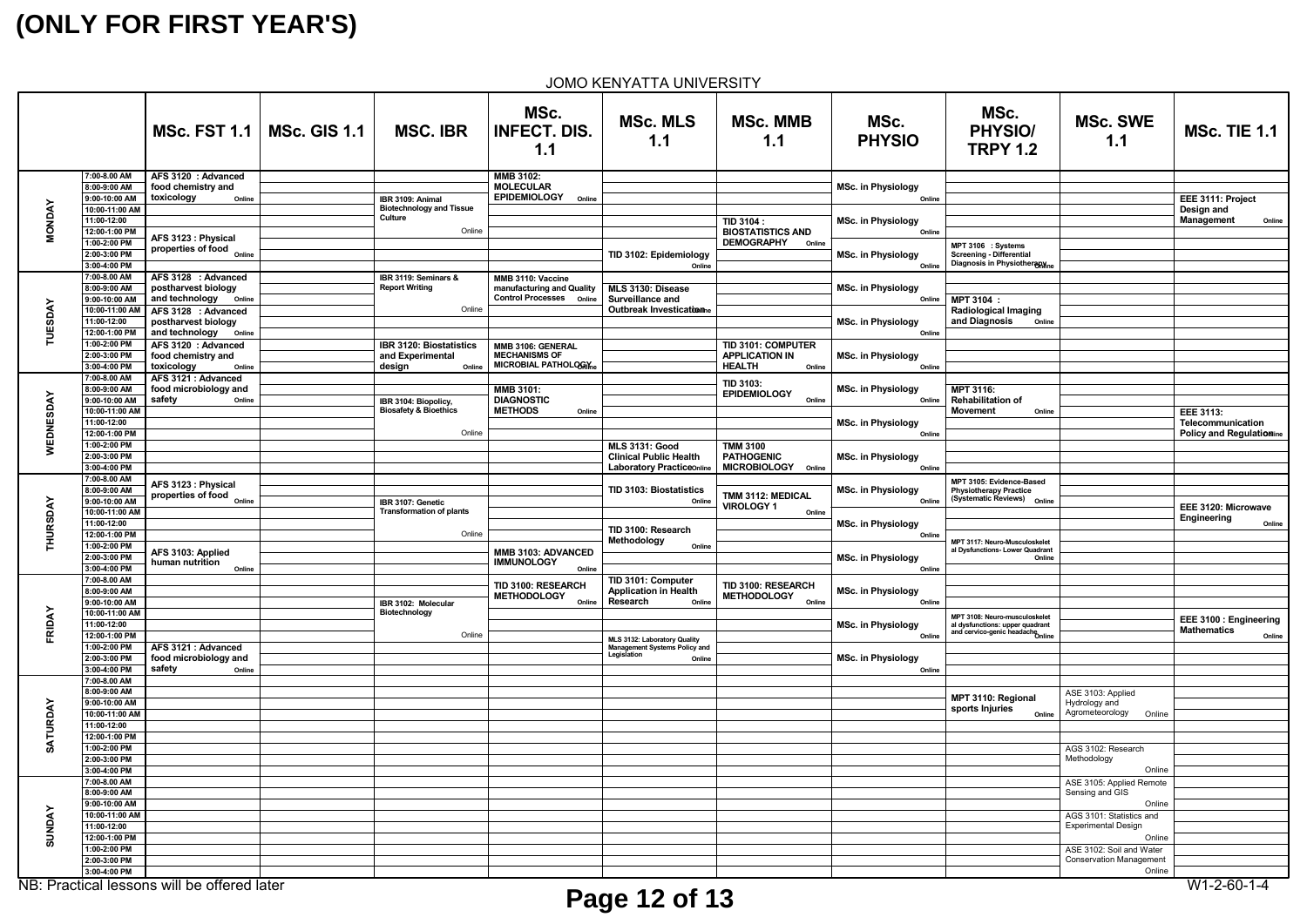| <b>JOMO KENYATTA UNIVERSITY</b> |  |
|---------------------------------|--|
|---------------------------------|--|

NB: Practical lessons will be offered later W1-2-60-1-4

|                |                                                                 | MSc. FST 1.1 $\vert$                                                   | <b>MSc. GIS 1.1</b> | <b>MSC. IBR</b>                                                 | MSc.<br><b>INFECT. DIS.</b><br>1.1                                                   | <b>MSc. MLS</b><br>1.1                                                                     | <b>MSc. MMB</b><br>1.1                                                 | MSc.<br><b>PHYSIO</b>               | MSc.<br><b>PHYSIC</b><br><b>TRPY1</b>                                              |
|----------------|-----------------------------------------------------------------|------------------------------------------------------------------------|---------------------|-----------------------------------------------------------------|--------------------------------------------------------------------------------------|--------------------------------------------------------------------------------------------|------------------------------------------------------------------------|-------------------------------------|------------------------------------------------------------------------------------|
|                | 7:00-8.00 AM<br>8:00-9:00 AM<br>9:00-10:00 AM                   | AFS 3120 : Advanced<br>food chemistry and<br>toxicology<br>Online      |                     | IBR 3109: Animal                                                | <b>MMB 3102:</b><br><b>MOLECULAR</b><br><b>EPIDEMIOLOGY</b><br>Online                |                                                                                            |                                                                        | <b>MSc. in Physiology</b><br>Online |                                                                                    |
| <b>MONDAY</b>  | 10:00-11:00 AM<br>11:00-12:00<br>12:00-1:00 PM                  |                                                                        |                     | <b>Biotechnology and Tissue</b><br>Culture<br>Online            |                                                                                      |                                                                                            | TID 3104 :<br><b>BIOSTATISTICS AND</b>                                 | <b>MSc. in Physiology</b><br>Online |                                                                                    |
|                | 1:00-2:00 PM<br>2:00-3:00 PM<br>3:00-4:00 PM                    | AFS 3123 : Physical<br>properties of food<br><sub>Online</sub>         |                     |                                                                 |                                                                                      | TID 3102: Epidemiology<br>Online                                                           | <b>DEMOGRAPHY</b><br>Online                                            | <b>MSc. in Physiology</b><br>Online | MPT 3106 : Systems<br><b>Screening - Differenti</b><br><b>Diagnosis in Physiot</b> |
|                | 7:00-8.00 AM<br>8:00-9:00 AM<br>9:00-10:00 AM                   | AFS 3128 : Advanced<br>postharvest biology<br>and technology<br>Online |                     | IBR 3119: Seminars &<br><b>Report Writing</b>                   | MMB 3110: Vaccine<br>manufacturing and Quality<br><b>Control Processes</b><br>Online | MLS 3130: Disease<br>Surveillance and                                                      |                                                                        | <b>MSc. in Physiology</b><br>Online | MPT 3104 :                                                                         |
| <b>TUESDAY</b> | 10:00-11:00 AM<br>11:00-12:00<br>12:00-1:00 PM                  | AFS 3128 : Advanced<br>postharvest biology<br>and technology<br>Online |                     | Online                                                          |                                                                                      | <b>Outbreak Investication</b> e                                                            |                                                                        | <b>MSc. in Physiology</b><br>Online | Radiological Ima<br>and Diagnosis                                                  |
|                | 1:00-2:00 PM<br>2:00-3:00 PM<br>3:00-4:00 PM                    | AFS 3120 : Advanced<br>food chemistry and<br>toxicology<br>Online      |                     | IBR 3120: Biostatistics<br>and Experimental<br>design<br>Online | MMB 3106: GENERAL<br><b>MECHANISMS OF</b><br>MICROBIAL PATHOLOGIY <sub>ne</sub>      |                                                                                            | TID 3101: COMPUTER<br><b>APPLICATION IN</b><br><b>HEALTH</b><br>Online | <b>MSc. in Physiology</b><br>Online |                                                                                    |
|                | 7:00-8.00 AM<br>8:00-9:00 AM<br>9:00-10:00 AM                   | AFS 3121 : Advanced<br>food microbiology and<br>safety<br>Online       |                     | IBR 3104: Biopolicy,                                            | <b>MMB 3101:</b><br><b>DIAGNOSTIC</b>                                                |                                                                                            | <b>TID 3103:</b><br><b>EPIDEMIOLOGY</b><br>Online                      | <b>MSc. in Physiology</b><br>Online | <b>MPT 3116:</b><br><b>Rehabilitation of</b>                                       |
| WEDNESDAY      | 10:00-11:00 AM<br>11:00-12:00<br>12:00-1:00 PM                  |                                                                        |                     | <b>Biosafety &amp; Bioethics</b><br>Online                      | <b>METHODS</b><br>Online                                                             |                                                                                            |                                                                        | <b>MSc. in Physiology</b><br>Online | <b>Movement</b>                                                                    |
|                | 1:00-2:00 PM<br>2:00-3:00 PM<br>3:00-4:00 PM                    |                                                                        |                     |                                                                 |                                                                                      | <b>MLS 3131: Good</b><br><b>Clinical Public Health</b><br><b>Laboratory Practiceonline</b> | <b>TMM 3100</b><br><b>PATHOGENIC</b><br><b>MICROBIOLOGY</b><br>Online  | <b>MSc. in Physiology</b><br>Online |                                                                                    |
|                | 7:00-8.00 AM<br>8:00-9:00 AM<br>9:00-10:00 AM                   | AFS 3123 : Physical<br>properties of food<br><sub>Online</sub>         |                     | IBR 3107: Genetic                                               |                                                                                      | TID 3103: Biostatistics<br>Online                                                          | TMM 3112: MEDICAL<br><b>VIROLOGY 1</b>                                 | <b>MSc. in Physiology</b><br>Online | MPT 3105: Evidence-<br><b>Physiotherapy Practi</b><br>(Systematic Reviews)         |
| THURSDAY       | 10:00-11:00 AM<br>11:00-12:00<br>12:00-1:00 PM                  |                                                                        |                     | <b>Transformation of plants</b><br>Online                       |                                                                                      | TID 3100: Research<br>Methodology                                                          | Online                                                                 | <b>MSc. in Physiology</b><br>Online | MPT 3117: Neuro-Musci                                                              |
|                | 1:00-2:00 PM<br>2:00-3:00 PM<br>3:00-4:00 PM                    | AFS 3103: Applied<br>human nutrition<br>Online                         |                     |                                                                 | MMB 3103: ADVANCED<br><b>IMMUNOLOGY</b><br>Online                                    | Online                                                                                     |                                                                        | <b>MSc. in Physiology</b><br>Online | al Dysfunctions-Lower                                                              |
|                | 7:00-8.00 AM<br>8:00-9:00 AM<br>9:00-10:00 AM<br>10:00-11:00 AM |                                                                        |                     | IBR 3102: Molecular<br>Biotechnology                            | TID 3100: RESEARCH<br><b>METHODOLOGY</b><br>Online                                   | TID 3101: Computer<br>Application in Health<br>Research<br>Online                          | TID 3100: RESEARCH<br><b>METHODOLOGY</b><br>Online                     | <b>MSc. in Physiology</b><br>Online |                                                                                    |
| FRIDAY         | 11:00-12:00<br>12:00-1:00 PM<br>1:00-2:00 PM                    |                                                                        |                     | Online                                                          |                                                                                      | MLS 3132: Laboratory Quality<br>Management Systems Policy and                              |                                                                        | <b>MSc. in Physiology</b><br>Online | MPT 3108: Neuro-musci<br>al dysfunctions: upper o<br>and cervico-genic head        |
|                | 2:00-3:00 PM<br>3:00-4:00 PM<br>7:00-8.00 AM                    | AFS 3121 : Advanced<br>food microbiology and<br>safety<br>Online       |                     |                                                                 |                                                                                      | Legislation<br>Online                                                                      |                                                                        | <b>MSc. in Physiology</b><br>Online |                                                                                    |
|                | 8:00-9:00 AM<br>9:00-10:00 AM<br>10:00-11:00 AM                 |                                                                        |                     |                                                                 |                                                                                      |                                                                                            |                                                                        |                                     | MPT 3110: Regio<br>sports Injuries                                                 |
| SATURDAY       | 11:00-12:00<br>12:00-1:00 PM<br>1:00-2:00 PM                    |                                                                        |                     |                                                                 |                                                                                      |                                                                                            |                                                                        |                                     |                                                                                    |
|                | 2:00-3:00 PM<br>3:00-4:00 PM<br>7:00-8.00 AM                    |                                                                        |                     |                                                                 |                                                                                      |                                                                                            |                                                                        |                                     |                                                                                    |
|                | 8:00-9:00 AM<br>9:00-10:00 AM<br>10:00-11:00 AM                 |                                                                        |                     |                                                                 |                                                                                      |                                                                                            |                                                                        |                                     |                                                                                    |
| <b>SUNDAY</b>  | 11:00-12:00<br>12:00-1:00 PM<br>1:00-2:00 PM                    |                                                                        |                     |                                                                 |                                                                                      |                                                                                            |                                                                        |                                     |                                                                                    |
|                | 2:00-3:00 PM<br>3:00-4:00 PM                                    |                                                                        |                     |                                                                 |                                                                                      |                                                                                            |                                                                        |                                     |                                                                                    |

| MSc.<br><b>PHYSIO/</b><br><b>TRPY 1.2</b>                                                   | <b>MSc. SWE</b><br>1.1                                          | <b>MSc. TIE 1.1</b>                                            |
|---------------------------------------------------------------------------------------------|-----------------------------------------------------------------|----------------------------------------------------------------|
|                                                                                             |                                                                 |                                                                |
|                                                                                             |                                                                 | EEE 3111: Project<br>Design and<br><b>Management</b><br>Online |
| MPT 3106 : Systems<br><b>Screening - Differential</b><br>Diagnosis in Physiotherapyine      |                                                                 |                                                                |
| <b>MPT 3104 :</b><br><b>Radiological Imaging</b><br>and Diagnosis<br>Online                 |                                                                 |                                                                |
|                                                                                             |                                                                 |                                                                |
| <b>MPT 3116:</b><br><b>Rehabilitation of</b><br><b>Movement</b><br>Online                   |                                                                 | EEE 3113:                                                      |
|                                                                                             |                                                                 | Telecommunication<br><b>Policy and Regulationine</b>           |
|                                                                                             |                                                                 |                                                                |
|                                                                                             |                                                                 |                                                                |
| MPT 3105: Evidence-Based<br><b>Physiotherapy Practice</b><br>(Systematic Reviews)<br>Online |                                                                 | EEE 3120: Microwave                                            |
|                                                                                             |                                                                 | Engineering<br>Online                                          |
| MPT 3117: Neuro-Musculoskelet<br>al Dysfunctions- Lower Quadrant<br>Online                  |                                                                 |                                                                |
|                                                                                             |                                                                 |                                                                |
| MPT 3108: Neuro-musculoskelet                                                               |                                                                 |                                                                |
| al dysfunctions: upper quadrant<br>and cervico-genic headache<br>Online                     |                                                                 | EEE 3100 : Engineering<br><b>Mathematics</b><br>Online         |
|                                                                                             |                                                                 |                                                                |
|                                                                                             |                                                                 |                                                                |
|                                                                                             |                                                                 |                                                                |
| MPT 3110: Regional<br>sports Injuries<br>Online                                             | ASE 3103: Applied<br>Hydrology and<br>Agrometeorology<br>Online |                                                                |
|                                                                                             |                                                                 |                                                                |
|                                                                                             | AGS 3102: Research                                              |                                                                |
|                                                                                             | Methodology                                                     |                                                                |
|                                                                                             | Online<br>ASE 3105: Applied Remote                              |                                                                |
|                                                                                             | Sensing and GIS                                                 |                                                                |
|                                                                                             | Online                                                          |                                                                |
|                                                                                             | AGS 3101: Statistics and<br>Experimental Design                 |                                                                |
|                                                                                             | Online                                                          |                                                                |
|                                                                                             | ASE 3102: Soil and Water<br><b>Conservation Management</b>      |                                                                |
|                                                                                             | Online                                                          | $\frac{1}{2}$<br>$\sim$                                        |